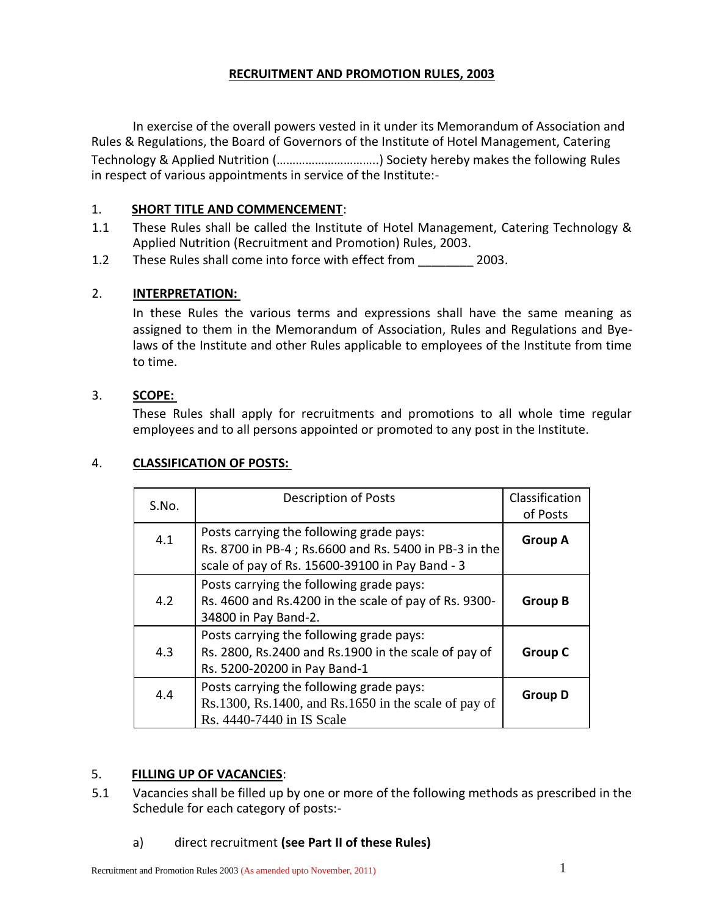## **RECRUITMENT AND PROMOTION RULES, 2003**

In exercise of the overall powers vested in it under its Memorandum of Association and Rules & Regulations, the Board of Governors of the Institute of Hotel Management, Catering Technology & Applied Nutrition (…………………………..) Society hereby makes the following Rules in respect of various appointments in service of the Institute:-

## 1. **SHORT TITLE AND COMMENCEMENT**:

- 1.1 These Rules shall be called the Institute of Hotel Management, Catering Technology & Applied Nutrition (Recruitment and Promotion) Rules, 2003.
- 1.2 These Rules shall come into force with effect from 2003.

## 2. **INTERPRETATION:**

In these Rules the various terms and expressions shall have the same meaning as assigned to them in the Memorandum of Association, Rules and Regulations and Byelaws of the Institute and other Rules applicable to employees of the Institute from time to time.

## 3. **SCOPE:**

These Rules shall apply for recruitments and promotions to all whole time regular employees and to all persons appointed or promoted to any post in the Institute.

## 4. **CLASSIFICATION OF POSTS:**

| S.No. | <b>Description of Posts</b>                                                                                                                          | Classification<br>of Posts |
|-------|------------------------------------------------------------------------------------------------------------------------------------------------------|----------------------------|
| 4.1   | Posts carrying the following grade pays:<br>Rs. 8700 in PB-4; Rs.6600 and Rs. 5400 in PB-3 in the<br>scale of pay of Rs. 15600-39100 in Pay Band - 3 | <b>Group A</b>             |
| 4.2   | Posts carrying the following grade pays:<br>Rs. 4600 and Rs.4200 in the scale of pay of Rs. 9300-<br>34800 in Pay Band-2.                            | <b>Group B</b>             |
| 4.3   | Posts carrying the following grade pays:<br>Rs. 2800, Rs.2400 and Rs.1900 in the scale of pay of<br>Rs. 5200-20200 in Pay Band-1                     | <b>Group C</b>             |
| 4.4   | Posts carrying the following grade pays:<br>$Rs.1300$ , $Rs.1400$ , and $Rs.1650$ in the scale of pay of<br>Rs. 4440-7440 in IS Scale                | <b>Group D</b>             |

## 5. **FILLING UP OF VACANCIES**:

5.1 Vacancies shall be filled up by one or more of the following methods as prescribed in the Schedule for each category of posts:-

## a) direct recruitment **(see Part II of these Rules)**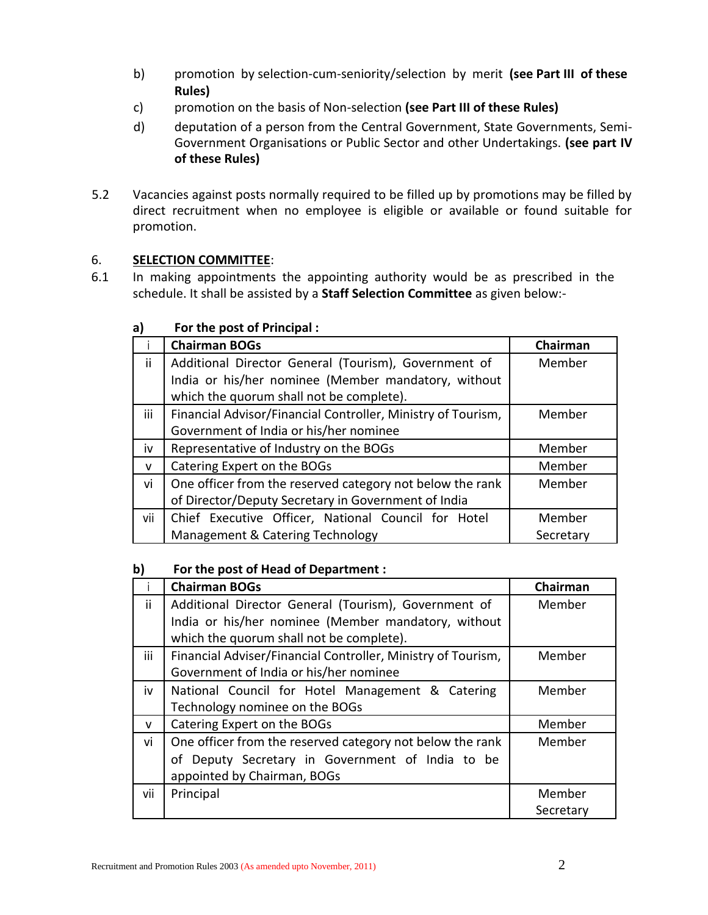- b) promotion by selection-cum-seniority/selection by merit **(see Part III of these Rules)**
- c) promotion on the basis of Non-selection **(see Part III of these Rules)**
- d) deputation of a person from the Central Government, State Governments, Semi-Government Organisations or Public Sector and other Undertakings. **(see part IV of these Rules)**
- 5.2 Vacancies against posts normally required to be filled up by promotions may be filled by direct recruitment when no employee is eligible or available or found suitable for promotion.

# 6. **SELECTION COMMITTEE**:

6.1 In making appointments the appointing authority would be as prescribed in the schedule. It shall be assisted by a **Staff Selection Committee** as given below:-

|              | <b>Chairman BOGs</b>                                         | Chairman  |
|--------------|--------------------------------------------------------------|-----------|
| ii           | Additional Director General (Tourism), Government of         | Member    |
|              | India or his/her nominee (Member mandatory, without          |           |
|              | which the quorum shall not be complete).                     |           |
| iii          | Financial Advisor/Financial Controller, Ministry of Tourism, | Member    |
|              | Government of India or his/her nominee                       |           |
| iv           | Representative of Industry on the BOGs                       | Member    |
| $\mathbf{V}$ | Catering Expert on the BOGs                                  | Member    |
| vi           | One officer from the reserved category not below the rank    | Member    |
|              | of Director/Deputy Secretary in Government of India          |           |
| vii          | Chief Executive Officer, National Council for Hotel          | Member    |
|              | Management & Catering Technology                             | Secretary |

## **a) For the post of Principal :**

## **b) For the post of Head of Department :**

|              | <b>Chairman BOGs</b>                                         | Chairman  |
|--------------|--------------------------------------------------------------|-----------|
| ii.          | Additional Director General (Tourism), Government of         | Member    |
|              | India or his/her nominee (Member mandatory, without          |           |
|              | which the quorum shall not be complete).                     |           |
| iii          | Financial Adviser/Financial Controller, Ministry of Tourism, | Member    |
|              | Government of India or his/her nominee                       |           |
| iv           | National Council for Hotel Management & Catering             | Member    |
|              | Technology nominee on the BOGs                               |           |
| $\mathsf{v}$ | Catering Expert on the BOGs                                  | Member    |
| vi           | One officer from the reserved category not below the rank    | Member    |
|              | of Deputy Secretary in Government of India to be             |           |
|              | appointed by Chairman, BOGs                                  |           |
| vii          | Principal                                                    | Member    |
|              |                                                              | Secretary |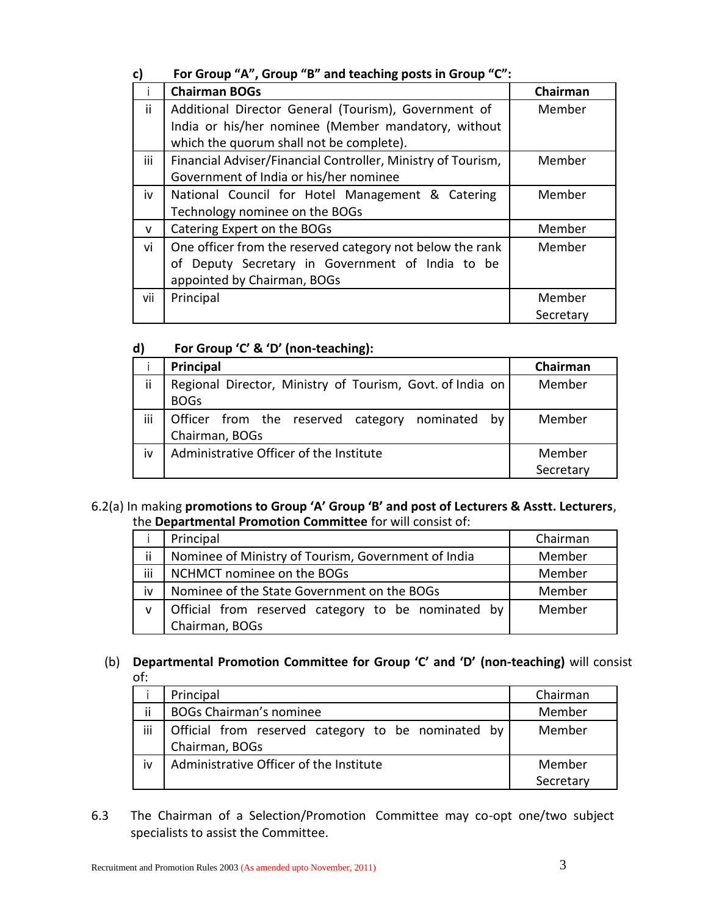# **c) For Group "A", Group "B" and teaching posts in Group "C":**

|              | <b>Chairman BOGs</b>                                         | Chairman  |
|--------------|--------------------------------------------------------------|-----------|
| ii.          | Additional Director General (Tourism), Government of         | Member    |
|              | India or his/her nominee (Member mandatory, without          |           |
|              | which the quorum shall not be complete).                     |           |
| iii          | Financial Adviser/Financial Controller, Ministry of Tourism, | Member    |
|              | Government of India or his/her nominee                       |           |
| iv           | National Council for Hotel Management & Catering             | Member    |
|              | Technology nominee on the BOGs                               |           |
| $\mathsf{v}$ | Catering Expert on the BOGs                                  | Member    |
| vi           | One officer from the reserved category not below the rank    | Member    |
|              | of Deputy Secretary in Government of India to be             |           |
|              | appointed by Chairman, BOGs                                  |           |
| vii          | Principal                                                    | Member    |
|              |                                                              | Secretary |

# **d) For Group 'C' & 'D' (non-teaching):**

|           | Principal                                                                | Chairman            |
|-----------|--------------------------------------------------------------------------|---------------------|
| ii        | Regional Director, Ministry of Tourism, Govt. of India on<br><b>BOGs</b> | Member              |
| iii       | Officer from the reserved category nominated<br>bv<br>Chairman, BOGs     | Member              |
| <b>iv</b> | Administrative Officer of the Institute                                  | Member<br>Secretary |

### 6.2(a) In making **promotions to Group 'A' Group 'B' and post of Lecturers & Asstt. Lecturers**, the **Departmental Promotion Committee** for will consist of:

|     | Principal                                           | Chairman |
|-----|-----------------------------------------------------|----------|
| ii  | Nominee of Ministry of Tourism, Government of India | Member   |
| iii | NCHMCT nominee on the BOGs                          | Member   |
| iv  | Nominee of the State Government on the BOGs         | Member   |
| v   | Official from reserved category to be nominated by  | Member   |
|     | Chairman, BOGs                                      |          |

## (b) **Departmental Promotion Committee for Group 'C' and 'D' (non-teaching)** will consist of:

|     | Principal                                                              | Chairman  |
|-----|------------------------------------------------------------------------|-----------|
| ii  | <b>BOGs Chairman's nominee</b>                                         | Member    |
| iii | Official from reserved category to be nominated by  <br>Chairman, BOGs | Member    |
| iv  | Administrative Officer of the Institute                                | Member    |
|     |                                                                        | Secretary |

6.3 The Chairman of a Selection/Promotion Committee may co-opt one/two subject specialists to assist the Committee.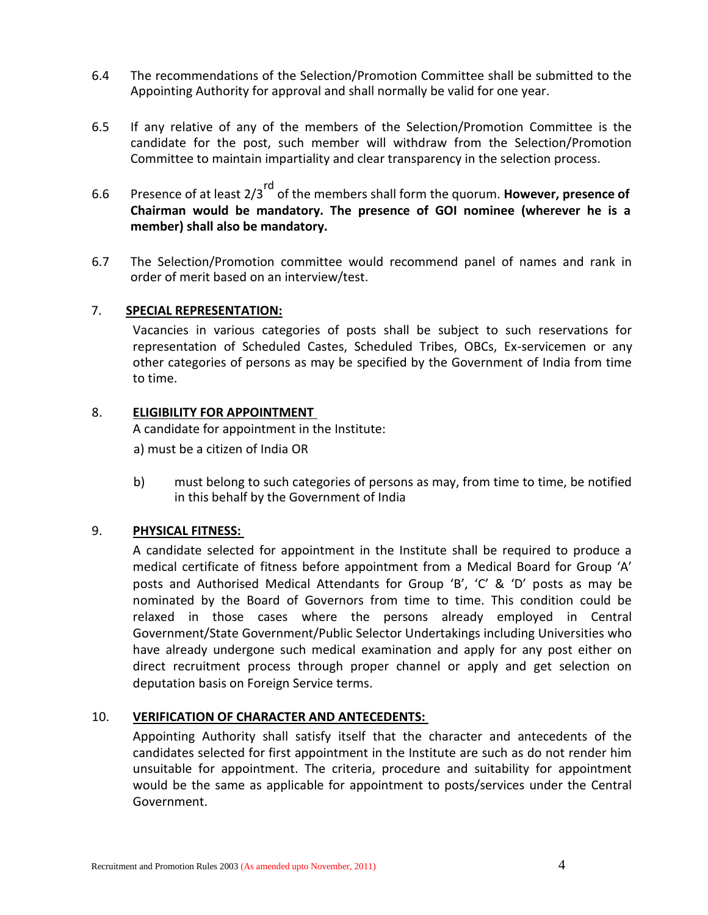- 6.4 The recommendations of the Selection/Promotion Committee shall be submitted to the Appointing Authority for approval and shall normally be valid for one year.
- 6.5 If any relative of any of the members of the Selection/Promotion Committee is the candidate for the post, such member will withdraw from the Selection/Promotion Committee to maintain impartiality and clear transparency in the selection process.
- 6.6 Presence of at least 2/3rd of the members shall form the quorum. **However, presence of Chairman would be mandatory. The presence of GOI nominee (wherever he is a member) shall also be mandatory.**
- 6.7 The Selection/Promotion committee would recommend panel of names and rank in order of merit based on an interview/test.

#### 7. **SPECIAL REPRESENTATION:**

Vacancies in various categories of posts shall be subject to such reservations for representation of Scheduled Castes, Scheduled Tribes, OBCs, Ex-servicemen or any other categories of persons as may be specified by the Government of India from time to time.

#### 8. **ELIGIBILITY FOR APPOINTMENT**

A candidate for appointment in the Institute:

a) must be a citizen of India OR

b) must belong to such categories of persons as may, from time to time, be notified in this behalf by the Government of India

### 9. **PHYSICAL FITNESS:**

A candidate selected for appointment in the Institute shall be required to produce a medical certificate of fitness before appointment from a Medical Board for Group 'A' posts and Authorised Medical Attendants for Group 'B', 'C' & 'D' posts as may be nominated by the Board of Governors from time to time. This condition could be relaxed in those cases where the persons already employed in Central Government/State Government/Public Selector Undertakings including Universities who have already undergone such medical examination and apply for any post either on direct recruitment process through proper channel or apply and get selection on deputation basis on Foreign Service terms.

### 10. **VERIFICATION OF CHARACTER AND ANTECEDENTS:**

Appointing Authority shall satisfy itself that the character and antecedents of the candidates selected for first appointment in the Institute are such as do not render him unsuitable for appointment. The criteria, procedure and suitability for appointment would be the same as applicable for appointment to posts/services under the Central Government.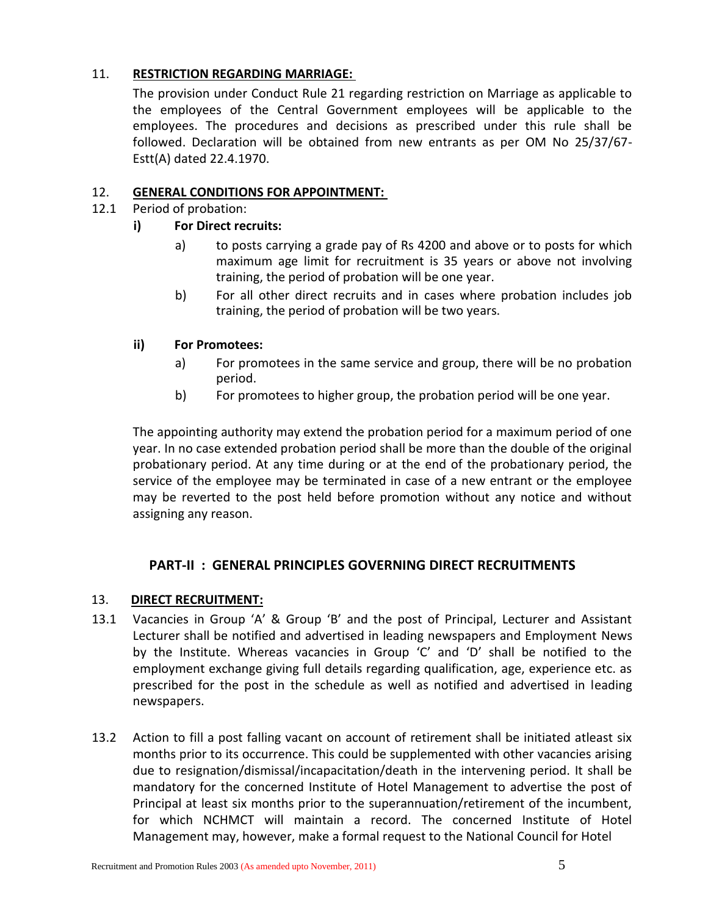## 11. **RESTRICTION REGARDING MARRIAGE:**

The provision under Conduct Rule 21 regarding restriction on Marriage as applicable to the employees of the Central Government employees will be applicable to the employees. The procedures and decisions as prescribed under this rule shall be followed. Declaration will be obtained from new entrants as per OM No 25/37/67- Estt(A) dated 22.4.1970.

## 12. **GENERAL CONDITIONS FOR APPOINTMENT:**

12.1 Period of probation:

## **i) For Direct recruits:**

- a) to posts carrying a grade pay of Rs 4200 and above or to posts for which maximum age limit for recruitment is 35 years or above not involving training, the period of probation will be one year.
- b) For all other direct recruits and in cases where probation includes job training, the period of probation will be two years.

### **ii) For Promotees:**

- a) For promotees in the same service and group, there will be no probation period.
- b) For promotees to higher group, the probation period will be one year.

The appointing authority may extend the probation period for a maximum period of one year. In no case extended probation period shall be more than the double of the original probationary period. At any time during or at the end of the probationary period, the service of the employee may be terminated in case of a new entrant or the employee may be reverted to the post held before promotion without any notice and without assigning any reason.

## **PART-II : GENERAL PRINCIPLES GOVERNING DIRECT RECRUITMENTS**

### 13. **DIRECT RECRUITMENT:**

- 13.1 Vacancies in Group 'A' & Group 'B' and the post of Principal, Lecturer and Assistant Lecturer shall be notified and advertised in leading newspapers and Employment News by the Institute. Whereas vacancies in Group 'C' and 'D' shall be notified to the employment exchange giving full details regarding qualification, age, experience etc. as prescribed for the post in the schedule as well as notified and advertised in leading newspapers.
- 13.2 Action to fill a post falling vacant on account of retirement shall be initiated atleast six months prior to its occurrence. This could be supplemented with other vacancies arising due to resignation/dismissal/incapacitation/death in the intervening period. It shall be mandatory for the concerned Institute of Hotel Management to advertise the post of Principal at least six months prior to the superannuation/retirement of the incumbent, for which NCHMCT will maintain a record. The concerned Institute of Hotel Management may, however, make a formal request to the National Council for Hotel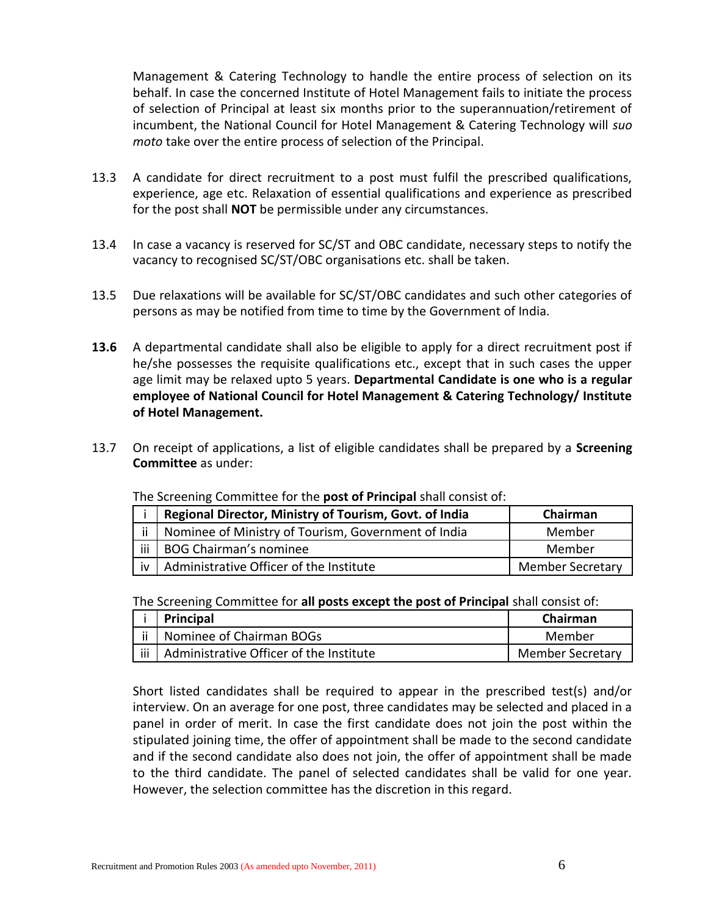Management & Catering Technology to handle the entire process of selection on its behalf. In case the concerned Institute of Hotel Management fails to initiate the process of selection of Principal at least six months prior to the superannuation/retirement of incumbent, the National Council for Hotel Management & Catering Technology will *suo moto* take over the entire process of selection of the Principal.

- 13.3 A candidate for direct recruitment to a post must fulfil the prescribed qualifications, experience, age etc. Relaxation of essential qualifications and experience as prescribed for the post shall **NOT** be permissible under any circumstances.
- 13.4 In case a vacancy is reserved for SC/ST and OBC candidate, necessary steps to notify the vacancy to recognised SC/ST/OBC organisations etc. shall be taken.
- 13.5 Due relaxations will be available for SC/ST/OBC candidates and such other categories of persons as may be notified from time to time by the Government of India.
- **13.6** A departmental candidate shall also be eligible to apply for a direct recruitment post if he/she possesses the requisite qualifications etc., except that in such cases the upper age limit may be relaxed upto 5 years. **Departmental Candidate is one who is a regular employee of National Council for Hotel Management & Catering Technology/ Institute of Hotel Management.**
- 13.7 On receipt of applications, a list of eligible candidates shall be prepared by a **Screening Committee** as under:

|     | Regional Director, Ministry of Tourism, Govt. of India | Chairman                |
|-----|--------------------------------------------------------|-------------------------|
| ii  | Nominee of Ministry of Tourism, Government of India    | Member                  |
| iii | <b>BOG Chairman's nominee</b>                          | Member                  |
| iv  | Administrative Officer of the Institute                | <b>Member Secretary</b> |

#### The Screening Committee for the **post of Principal** shall consist of:

The Screening Committee for **all posts except the post of Principal** shall consist of:

| <b>Principal</b>                              | Chairman                |
|-----------------------------------------------|-------------------------|
| Nominee of Chairman BOGs                      | Member                  |
| iii   Administrative Officer of the Institute | <b>Member Secretary</b> |

Short listed candidates shall be required to appear in the prescribed test(s) and/or interview. On an average for one post, three candidates may be selected and placed in a panel in order of merit. In case the first candidate does not join the post within the stipulated joining time, the offer of appointment shall be made to the second candidate and if the second candidate also does not join, the offer of appointment shall be made to the third candidate. The panel of selected candidates shall be valid for one year. However, the selection committee has the discretion in this regard.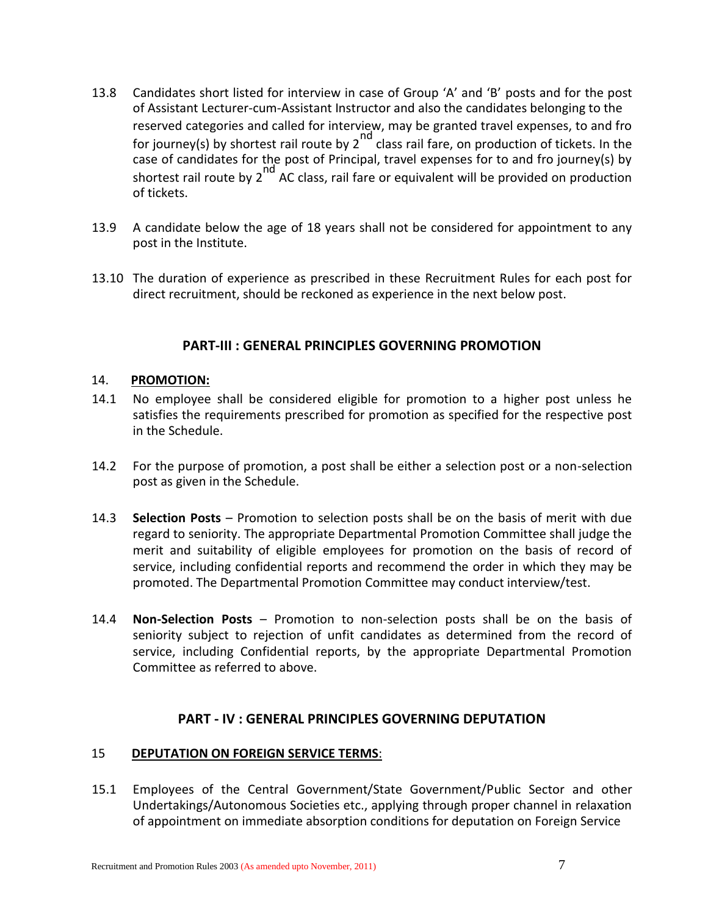- 13.8 Candidates short listed for interview in case of Group 'A' and 'B' posts and for the post of Assistant Lecturer-cum-Assistant Instructor and also the candidates belonging to the reserved categories and called for interview, may be granted travel expenses, to and fro for journey(s) by shortest rail route by  $2^{nd}$  class rail fare, on production of tickets. In the case of candidates for the post of Principal, travel expenses for to and fro journey(s) by shortest rail route by  $2^{nd}$  AC class, rail fare or equivalent will be provided on production of tickets.
- 13.9 A candidate below the age of 18 years shall not be considered for appointment to any post in the Institute.
- 13.10 The duration of experience as prescribed in these Recruitment Rules for each post for direct recruitment, should be reckoned as experience in the next below post.

### **PART-III : GENERAL PRINCIPLES GOVERNING PROMOTION**

#### 14. **PROMOTION:**

- 14.1 No employee shall be considered eligible for promotion to a higher post unless he satisfies the requirements prescribed for promotion as specified for the respective post in the Schedule.
- 14.2 For the purpose of promotion, a post shall be either a selection post or a non-selection post as given in the Schedule.
- 14.3 **Selection Posts**  Promotion to selection posts shall be on the basis of merit with due regard to seniority. The appropriate Departmental Promotion Committee shall judge the merit and suitability of eligible employees for promotion on the basis of record of service, including confidential reports and recommend the order in which they may be promoted. The Departmental Promotion Committee may conduct interview/test.
- 14.4 **Non-Selection Posts**  Promotion to non-selection posts shall be on the basis of seniority subject to rejection of unfit candidates as determined from the record of service, including Confidential reports, by the appropriate Departmental Promotion Committee as referred to above.

### **PART - IV : GENERAL PRINCIPLES GOVERNING DEPUTATION**

#### 15 **DEPUTATION ON FOREIGN SERVICE TERMS**:

15.1 Employees of the Central Government/State Government/Public Sector and other Undertakings/Autonomous Societies etc., applying through proper channel in relaxation of appointment on immediate absorption conditions for deputation on Foreign Service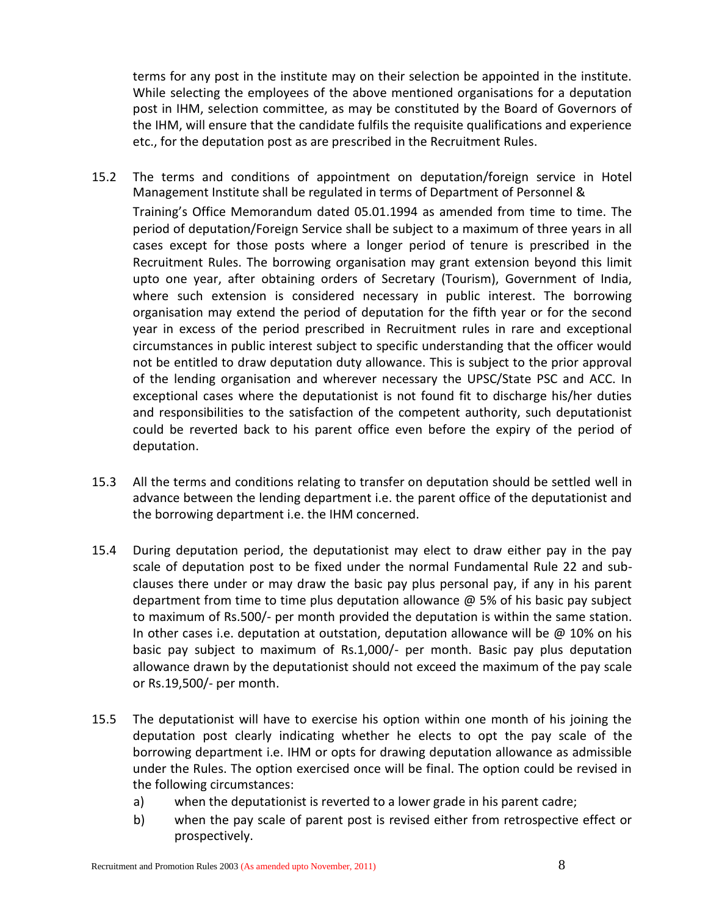terms for any post in the institute may on their selection be appointed in the institute. While selecting the employees of the above mentioned organisations for a deputation post in IHM, selection committee, as may be constituted by the Board of Governors of the IHM, will ensure that the candidate fulfils the requisite qualifications and experience etc., for the deputation post as are prescribed in the Recruitment Rules.

- 15.2 The terms and conditions of appointment on deputation/foreign service in Hotel Management Institute shall be regulated in terms of Department of Personnel & Training's Office Memorandum dated 05.01.1994 as amended from time to time. The period of deputation/Foreign Service shall be subject to a maximum of three years in all cases except for those posts where a longer period of tenure is prescribed in the Recruitment Rules. The borrowing organisation may grant extension beyond this limit upto one year, after obtaining orders of Secretary (Tourism), Government of India, where such extension is considered necessary in public interest. The borrowing organisation may extend the period of deputation for the fifth year or for the second year in excess of the period prescribed in Recruitment rules in rare and exceptional circumstances in public interest subject to specific understanding that the officer would not be entitled to draw deputation duty allowance. This is subject to the prior approval of the lending organisation and wherever necessary the UPSC/State PSC and ACC. In exceptional cases where the deputationist is not found fit to discharge his/her duties and responsibilities to the satisfaction of the competent authority, such deputationist could be reverted back to his parent office even before the expiry of the period of deputation.
- 15.3 All the terms and conditions relating to transfer on deputation should be settled well in advance between the lending department i.e. the parent office of the deputationist and the borrowing department i.e. the IHM concerned.
- 15.4 During deputation period, the deputationist may elect to draw either pay in the pay scale of deputation post to be fixed under the normal Fundamental Rule 22 and subclauses there under or may draw the basic pay plus personal pay, if any in his parent department from time to time plus deputation allowance @ 5% of his basic pay subject to maximum of Rs.500/- per month provided the deputation is within the same station. In other cases i.e. deputation at outstation, deputation allowance will be  $@$  10% on his basic pay subject to maximum of Rs.1,000/- per month. Basic pay plus deputation allowance drawn by the deputationist should not exceed the maximum of the pay scale or Rs.19,500/- per month.
- 15.5 The deputationist will have to exercise his option within one month of his joining the deputation post clearly indicating whether he elects to opt the pay scale of the borrowing department i.e. IHM or opts for drawing deputation allowance as admissible under the Rules. The option exercised once will be final. The option could be revised in the following circumstances:
	- a) when the deputationist is reverted to a lower grade in his parent cadre;
	- b) when the pay scale of parent post is revised either from retrospective effect or prospectively.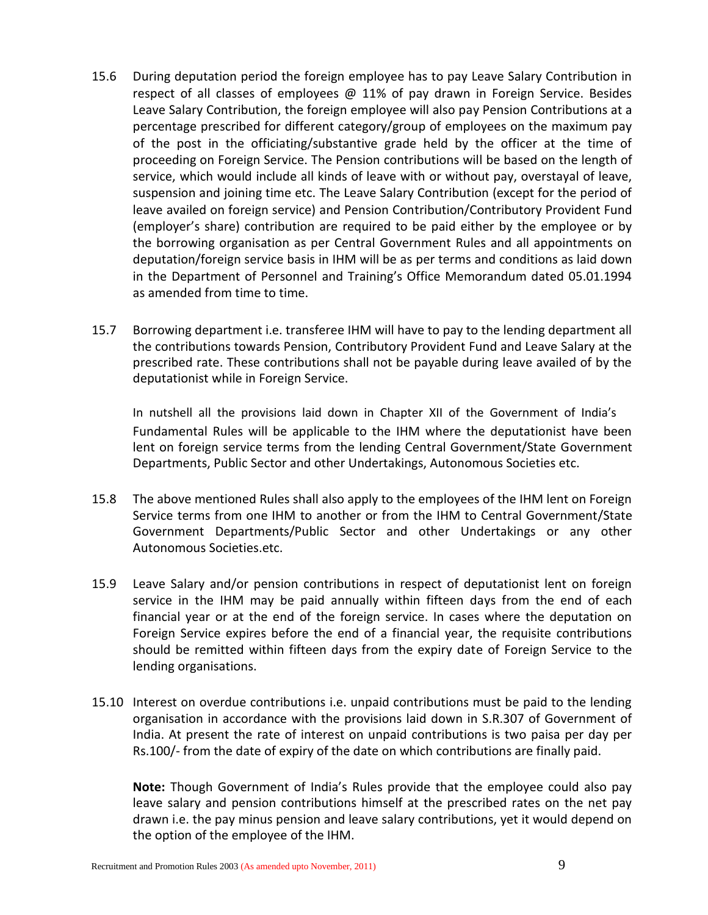- 15.6 During deputation period the foreign employee has to pay Leave Salary Contribution in respect of all classes of employees  $\omega$  11% of pay drawn in Foreign Service. Besides Leave Salary Contribution, the foreign employee will also pay Pension Contributions at a percentage prescribed for different category/group of employees on the maximum pay of the post in the officiating/substantive grade held by the officer at the time of proceeding on Foreign Service. The Pension contributions will be based on the length of service, which would include all kinds of leave with or without pay, overstayal of leave, suspension and joining time etc. The Leave Salary Contribution (except for the period of leave availed on foreign service) and Pension Contribution/Contributory Provident Fund (employer's share) contribution are required to be paid either by the employee or by the borrowing organisation as per Central Government Rules and all appointments on deputation/foreign service basis in IHM will be as per terms and conditions as laid down in the Department of Personnel and Training's Office Memorandum dated 05.01.1994 as amended from time to time.
- 15.7 Borrowing department i.e. transferee IHM will have to pay to the lending department all the contributions towards Pension, Contributory Provident Fund and Leave Salary at the prescribed rate. These contributions shall not be payable during leave availed of by the deputationist while in Foreign Service.

In nutshell all the provisions laid down in Chapter XII of the Government of India's Fundamental Rules will be applicable to the IHM where the deputationist have been lent on foreign service terms from the lending Central Government/State Government Departments, Public Sector and other Undertakings, Autonomous Societies etc.

- 15.8 The above mentioned Rules shall also apply to the employees of the IHM lent on Foreign Service terms from one IHM to another or from the IHM to Central Government/State Government Departments/Public Sector and other Undertakings or any other Autonomous Societies.etc.
- 15.9 Leave Salary and/or pension contributions in respect of deputationist lent on foreign service in the IHM may be paid annually within fifteen days from the end of each financial year or at the end of the foreign service. In cases where the deputation on Foreign Service expires before the end of a financial year, the requisite contributions should be remitted within fifteen days from the expiry date of Foreign Service to the lending organisations.
- 15.10 Interest on overdue contributions i.e. unpaid contributions must be paid to the lending organisation in accordance with the provisions laid down in S.R.307 of Government of India. At present the rate of interest on unpaid contributions is two paisa per day per Rs.100/- from the date of expiry of the date on which contributions are finally paid.

**Note:** Though Government of India's Rules provide that the employee could also pay leave salary and pension contributions himself at the prescribed rates on the net pay drawn i.e. the pay minus pension and leave salary contributions, yet it would depend on the option of the employee of the IHM.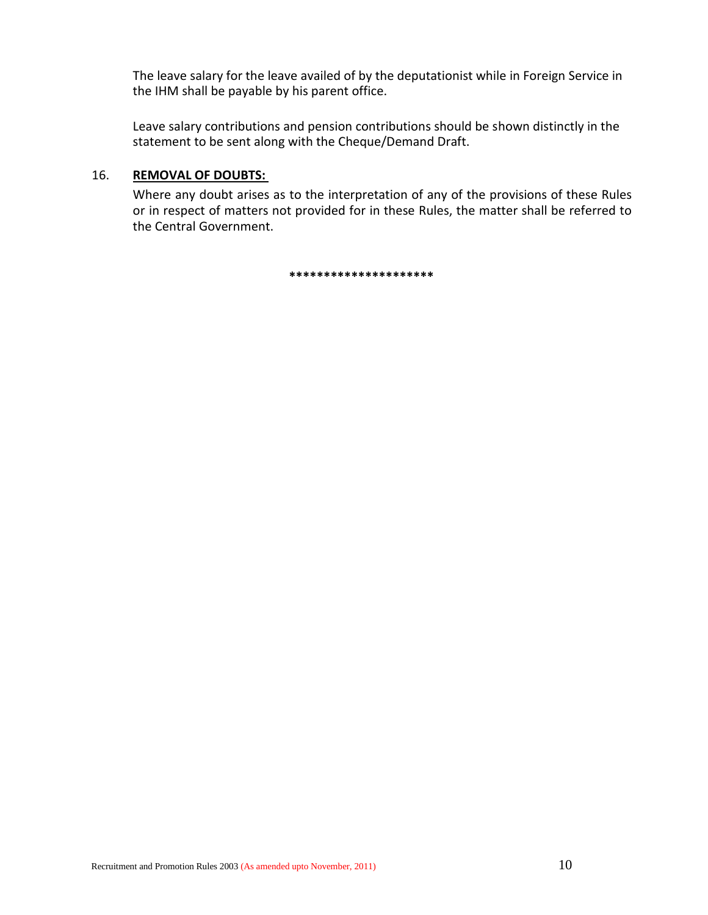The leave salary for the leave availed of by the deputationist while in Foreign Service in the IHM shall be payable by his parent office.

Leave salary contributions and pension contributions should be shown distinctly in the statement to be sent along with the Cheque/Demand Draft.

### 16. **REMOVAL OF DOUBTS:**

Where any doubt arises as to the interpretation of any of the provisions of these Rules or in respect of matters not provided for in these Rules, the matter shall be referred to the Central Government.

**\*\*\*\*\*\*\*\*\*\*\*\*\*\*\*\*\*\*\*\*\***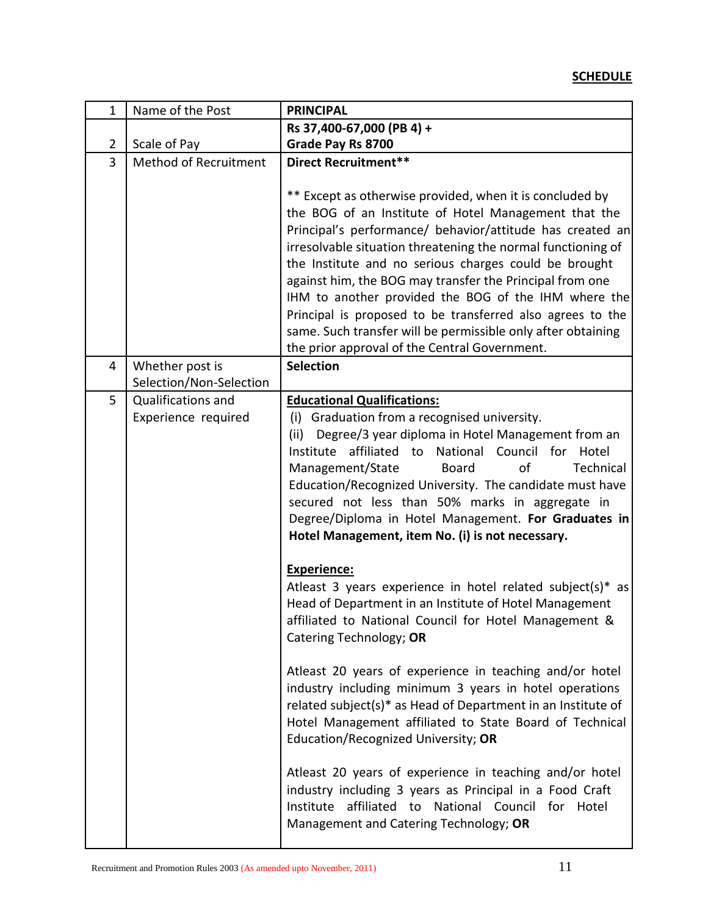# **SCHEDULE**

| $\overline{1}$ | Name of the Post                                                     | <b>PRINCIPAL</b>                                                                                                                                                                                                                                                                                                                                                                                                                                                                                                                                                                                                                                                                                                                                                                                                                                                                                                                                                                                                                                                                        |
|----------------|----------------------------------------------------------------------|-----------------------------------------------------------------------------------------------------------------------------------------------------------------------------------------------------------------------------------------------------------------------------------------------------------------------------------------------------------------------------------------------------------------------------------------------------------------------------------------------------------------------------------------------------------------------------------------------------------------------------------------------------------------------------------------------------------------------------------------------------------------------------------------------------------------------------------------------------------------------------------------------------------------------------------------------------------------------------------------------------------------------------------------------------------------------------------------|
|                |                                                                      | Rs 37,400-67,000 (PB 4) +                                                                                                                                                                                                                                                                                                                                                                                                                                                                                                                                                                                                                                                                                                                                                                                                                                                                                                                                                                                                                                                               |
| $\overline{2}$ | Scale of Pay                                                         | Grade Pay Rs 8700                                                                                                                                                                                                                                                                                                                                                                                                                                                                                                                                                                                                                                                                                                                                                                                                                                                                                                                                                                                                                                                                       |
| 3              | <b>Method of Recruitment</b>                                         | Direct Recruitment**<br>** Except as otherwise provided, when it is concluded by<br>the BOG of an Institute of Hotel Management that the<br>Principal's performance/ behavior/attitude has created an<br>irresolvable situation threatening the normal functioning of<br>the Institute and no serious charges could be brought<br>against him, the BOG may transfer the Principal from one<br>IHM to another provided the BOG of the IHM where the<br>Principal is proposed to be transferred also agrees to the<br>same. Such transfer will be permissible only after obtaining                                                                                                                                                                                                                                                                                                                                                                                                                                                                                                        |
|                |                                                                      | the prior approval of the Central Government.                                                                                                                                                                                                                                                                                                                                                                                                                                                                                                                                                                                                                                                                                                                                                                                                                                                                                                                                                                                                                                           |
| 4              | Whether post is                                                      | <b>Selection</b>                                                                                                                                                                                                                                                                                                                                                                                                                                                                                                                                                                                                                                                                                                                                                                                                                                                                                                                                                                                                                                                                        |
| 5              | Selection/Non-Selection<br>Qualifications and<br>Experience required | <b>Educational Qualifications:</b><br>(i) Graduation from a recognised university.<br>Degree/3 year diploma in Hotel Management from an<br>(ii)<br>affiliated to<br>National<br>Council for<br>Institute<br>Hotel<br>Management/State<br><b>Board</b><br>of<br>Technical<br>Education/Recognized University. The candidate must have<br>secured not less than 50% marks in aggregate in<br>Degree/Diploma in Hotel Management. For Graduates in<br>Hotel Management, item No. (i) is not necessary.<br><b>Experience:</b><br>Atleast 3 years experience in hotel related subject(s)* as<br>Head of Department in an Institute of Hotel Management<br>affiliated to National Council for Hotel Management &<br>Catering Technology; OR<br>Atleast 20 years of experience in teaching and/or hotel<br>industry including minimum 3 years in hotel operations<br>related subject(s)* as Head of Department in an Institute of<br>Hotel Management affiliated to State Board of Technical<br>Education/Recognized University; OR<br>Atleast 20 years of experience in teaching and/or hotel |
|                |                                                                      | industry including 3 years as Principal in a Food Craft<br>affiliated to National Council for Hotel<br>Institute<br>Management and Catering Technology; OR                                                                                                                                                                                                                                                                                                                                                                                                                                                                                                                                                                                                                                                                                                                                                                                                                                                                                                                              |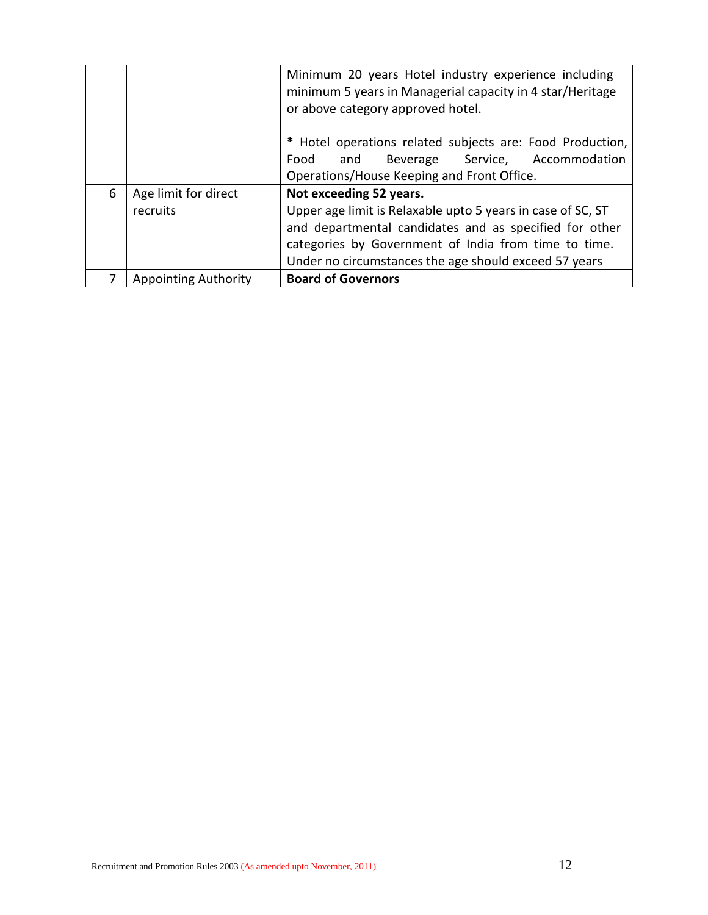|   |                             | Minimum 20 years Hotel industry experience including<br>minimum 5 years in Managerial capacity in 4 star/Heritage<br>or above category approved hotel.<br>* Hotel operations related subjects are: Food Production, |  |
|---|-----------------------------|---------------------------------------------------------------------------------------------------------------------------------------------------------------------------------------------------------------------|--|
|   |                             | Food and Beverage Service, Accommodation                                                                                                                                                                            |  |
|   |                             | Operations/House Keeping and Front Office.                                                                                                                                                                          |  |
| 6 | Age limit for direct        | Not exceeding 52 years.                                                                                                                                                                                             |  |
|   | recruits                    | Upper age limit is Relaxable upto 5 years in case of SC, ST                                                                                                                                                         |  |
|   |                             | and departmental candidates and as specified for other                                                                                                                                                              |  |
|   |                             | categories by Government of India from time to time.                                                                                                                                                                |  |
|   |                             | Under no circumstances the age should exceed 57 years                                                                                                                                                               |  |
|   | <b>Appointing Authority</b> | <b>Board of Governors</b>                                                                                                                                                                                           |  |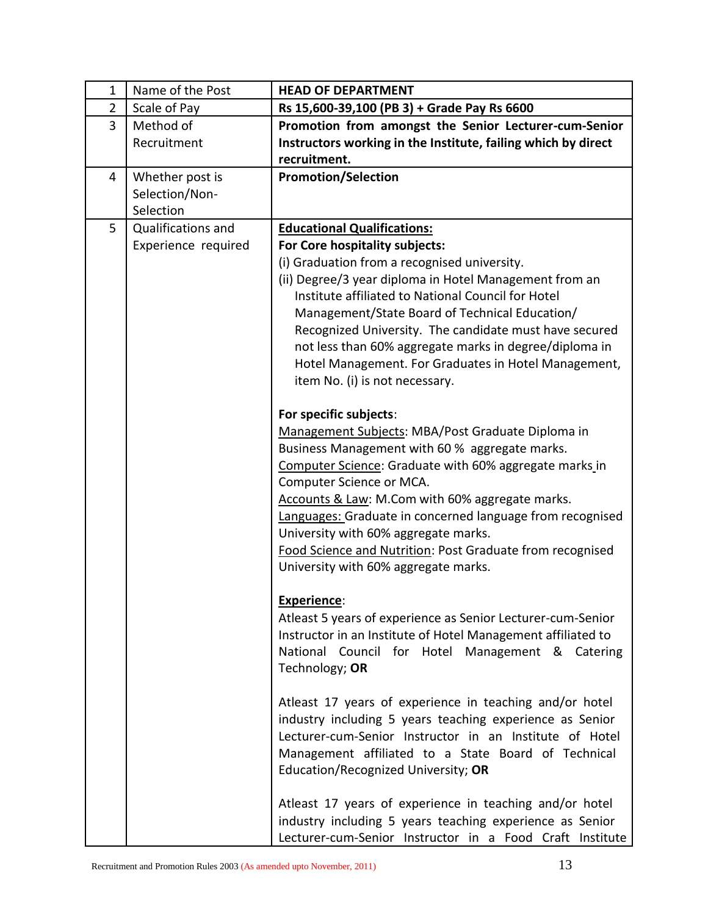| $\mathbf{1}$   | Name of the Post          | <b>HEAD OF DEPARTMENT</b>                                          |
|----------------|---------------------------|--------------------------------------------------------------------|
| $\overline{2}$ | Scale of Pay              | Rs 15,600-39,100 (PB 3) + Grade Pay Rs 6600                        |
| 3              | Method of                 | Promotion from amongst the Senior Lecturer-cum-Senior              |
|                | Recruitment               | Instructors working in the Institute, failing which by direct      |
|                |                           | recruitment.                                                       |
| 4              | Whether post is           | <b>Promotion/Selection</b>                                         |
|                | Selection/Non-            |                                                                    |
|                | Selection                 |                                                                    |
| 5              | <b>Qualifications and</b> | <b>Educational Qualifications:</b>                                 |
|                | Experience required       | For Core hospitality subjects:                                     |
|                |                           | (i) Graduation from a recognised university.                       |
|                |                           | (ii) Degree/3 year diploma in Hotel Management from an             |
|                |                           | Institute affiliated to National Council for Hotel                 |
|                |                           | Management/State Board of Technical Education/                     |
|                |                           | Recognized University. The candidate must have secured             |
|                |                           | not less than 60% aggregate marks in degree/diploma in             |
|                |                           | Hotel Management. For Graduates in Hotel Management,               |
|                |                           | item No. (i) is not necessary.                                     |
|                |                           |                                                                    |
|                |                           | For specific subjects:                                             |
|                |                           | Management Subjects: MBA/Post Graduate Diploma in                  |
|                |                           | Business Management with 60 % aggregate marks.                     |
|                |                           | Computer Science: Graduate with 60% aggregate marks in             |
|                |                           | Computer Science or MCA.                                           |
|                |                           | Accounts & Law: M.Com with 60% aggregate marks.                    |
|                |                           | Languages: Graduate in concerned language from recognised          |
|                |                           | University with 60% aggregate marks.                               |
|                |                           | Food Science and Nutrition: Post Graduate from recognised          |
|                |                           | University with 60% aggregate marks.                               |
|                |                           |                                                                    |
|                |                           | Experience:                                                        |
|                |                           | Atleast 5 years of experience as Senior Lecturer-cum-Senior        |
|                |                           | Instructor in an Institute of Hotel Management affiliated to       |
|                |                           | National Council for Hotel Management & Catering<br>Technology; OR |
|                |                           |                                                                    |
|                |                           | Atleast 17 years of experience in teaching and/or hotel            |
|                |                           | industry including 5 years teaching experience as Senior           |
|                |                           | Lecturer-cum-Senior Instructor in an Institute of Hotel            |
|                |                           | Management affiliated to a State Board of Technical                |
|                |                           | Education/Recognized University; OR                                |
|                |                           |                                                                    |
|                |                           | Atleast 17 years of experience in teaching and/or hotel            |
|                |                           | industry including 5 years teaching experience as Senior           |
|                |                           | Lecturer-cum-Senior Instructor in a Food Craft Institute           |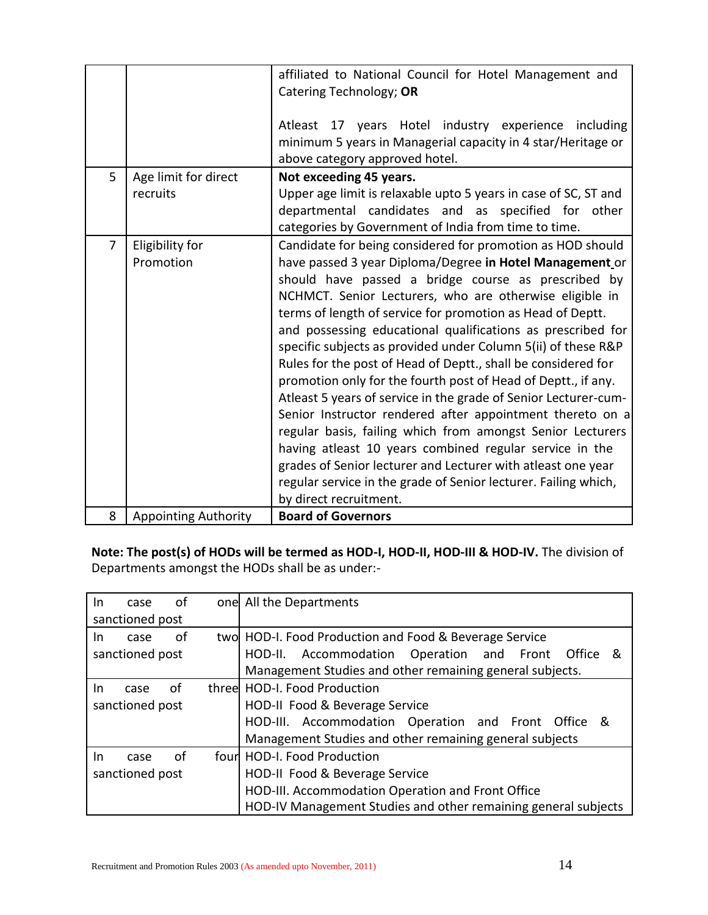|                |                                  | affiliated to National Council for Hotel Management and<br>Catering Technology; OR<br>Atleast 17 years Hotel industry experience including<br>minimum 5 years in Managerial capacity in 4 star/Heritage or<br>above category approved hotel.                                                                                                                                                                                                                                                                                                                                                                                                                                                                                                                                                                                                                                                                                                                         |  |
|----------------|----------------------------------|----------------------------------------------------------------------------------------------------------------------------------------------------------------------------------------------------------------------------------------------------------------------------------------------------------------------------------------------------------------------------------------------------------------------------------------------------------------------------------------------------------------------------------------------------------------------------------------------------------------------------------------------------------------------------------------------------------------------------------------------------------------------------------------------------------------------------------------------------------------------------------------------------------------------------------------------------------------------|--|
| 5              | Age limit for direct<br>recruits | Not exceeding 45 years.<br>Upper age limit is relaxable upto 5 years in case of SC, ST and<br>departmental candidates and as specified for other<br>categories by Government of India from time to time.                                                                                                                                                                                                                                                                                                                                                                                                                                                                                                                                                                                                                                                                                                                                                             |  |
| $\overline{7}$ | Eligibility for<br>Promotion     | Candidate for being considered for promotion as HOD should<br>have passed 3 year Diploma/Degree in Hotel Management or<br>should have passed a bridge course as prescribed by<br>NCHMCT. Senior Lecturers, who are otherwise eligible in<br>terms of length of service for promotion as Head of Deptt.<br>and possessing educational qualifications as prescribed for<br>specific subjects as provided under Column 5(ii) of these R&P<br>Rules for the post of Head of Deptt., shall be considered for<br>promotion only for the fourth post of Head of Deptt., if any.<br>Atleast 5 years of service in the grade of Senior Lecturer-cum-<br>Senior Instructor rendered after appointment thereto on a<br>regular basis, failing which from amongst Senior Lecturers<br>having atleast 10 years combined regular service in the<br>grades of Senior lecturer and Lecturer with atleast one year<br>regular service in the grade of Senior lecturer. Failing which, |  |
| 8              | <b>Appointing Authority</b>      | <b>Board of Governors</b>                                                                                                                                                                                                                                                                                                                                                                                                                                                                                                                                                                                                                                                                                                                                                                                                                                                                                                                                            |  |

Note: The post(s) of HODs will be termed as HOD-I, HOD-II, HOD-III & HOD-IV. The division of Departments amongst the HODs shall be as under:-

| In.             | case                                              | 0f |                                | one All the Departments                                        |  |
|-----------------|---------------------------------------------------|----|--------------------------------|----------------------------------------------------------------|--|
|                 | sanctioned post                                   |    |                                |                                                                |  |
| In.             | case                                              | οf |                                | two HOD-I. Food Production and Food & Beverage Service         |  |
|                 | sanctioned post                                   |    |                                | HOD-II. Accommodation Operation and Front Office &             |  |
|                 |                                                   |    |                                | Management Studies and other remaining general subjects.       |  |
| In.             | case                                              | 0f |                                | three HOD-I. Food Production                                   |  |
| sanctioned post |                                                   |    | HOD-II Food & Beverage Service |                                                                |  |
|                 |                                                   |    |                                | HOD-III. Accommodation Operation and Front Office &            |  |
|                 |                                                   |    |                                | Management Studies and other remaining general subjects        |  |
| In.             | case                                              | Ωf |                                | fourl HOD-I. Food Production                                   |  |
|                 | HOD-II Food & Beverage Service<br>sanctioned post |    |                                |                                                                |  |
|                 |                                                   |    |                                | HOD-III. Accommodation Operation and Front Office              |  |
|                 |                                                   |    |                                | HOD-IV Management Studies and other remaining general subjects |  |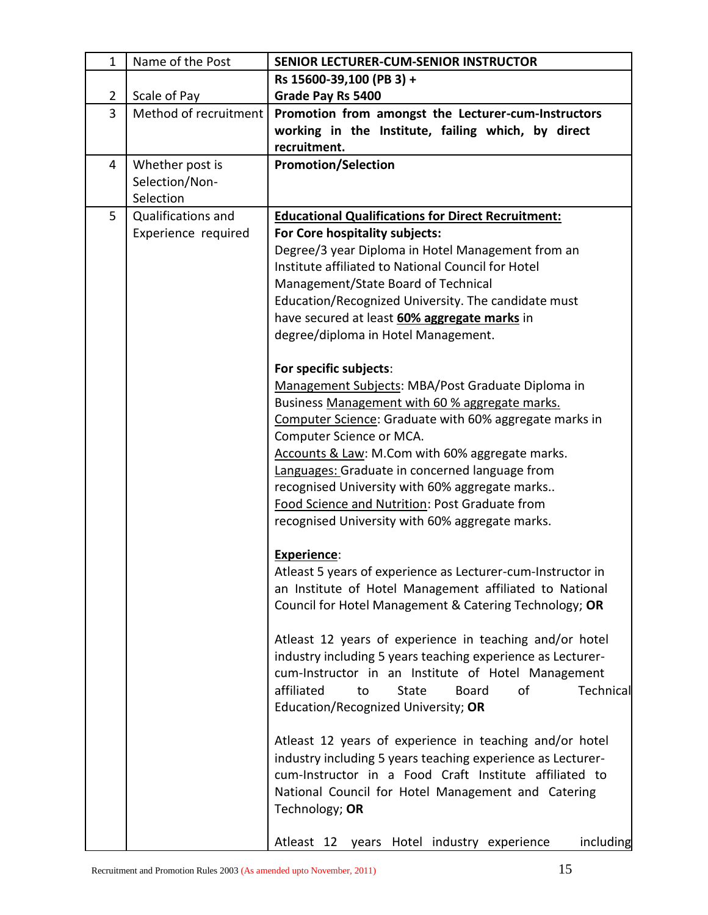| $\mathbf{1}$   | Name of the Post      | SENIOR LECTURER-CUM-SENIOR INSTRUCTOR                                                                   |  |
|----------------|-----------------------|---------------------------------------------------------------------------------------------------------|--|
|                |                       | Rs 15600-39,100 (PB 3) +                                                                                |  |
| $\overline{2}$ | Scale of Pay          | Grade Pay Rs 5400                                                                                       |  |
| $\overline{3}$ | Method of recruitment | Promotion from amongst the Lecturer-cum-Instructors                                                     |  |
|                |                       | working in the Institute, failing which, by direct                                                      |  |
|                |                       | recruitment.                                                                                            |  |
| 4              | Whether post is       | <b>Promotion/Selection</b>                                                                              |  |
|                | Selection/Non-        |                                                                                                         |  |
|                | Selection             |                                                                                                         |  |
| 5              | Qualifications and    | <b>Educational Qualifications for Direct Recruitment:</b>                                               |  |
|                | Experience required   | For Core hospitality subjects:                                                                          |  |
|                |                       | Degree/3 year Diploma in Hotel Management from an<br>Institute affiliated to National Council for Hotel |  |
|                |                       | Management/State Board of Technical                                                                     |  |
|                |                       | Education/Recognized University. The candidate must                                                     |  |
|                |                       | have secured at least 60% aggregate marks in                                                            |  |
|                |                       | degree/diploma in Hotel Management.                                                                     |  |
|                |                       |                                                                                                         |  |
|                |                       | For specific subjects:                                                                                  |  |
|                |                       | Management Subjects: MBA/Post Graduate Diploma in                                                       |  |
|                |                       | Business Management with 60 % aggregate marks.                                                          |  |
|                |                       | Computer Science: Graduate with 60% aggregate marks in                                                  |  |
|                |                       | Computer Science or MCA.                                                                                |  |
|                |                       | Accounts & Law: M.Com with 60% aggregate marks.                                                         |  |
|                |                       | Languages: Graduate in concerned language from                                                          |  |
|                |                       | recognised University with 60% aggregate marks                                                          |  |
|                |                       | Food Science and Nutrition: Post Graduate from                                                          |  |
|                |                       | recognised University with 60% aggregate marks.                                                         |  |
|                |                       | Experience:                                                                                             |  |
|                |                       | Atleast 5 years of experience as Lecturer-cum-Instructor in                                             |  |
|                |                       | an Institute of Hotel Management affiliated to National                                                 |  |
|                |                       | Council for Hotel Management & Catering Technology; OR                                                  |  |
|                |                       |                                                                                                         |  |
|                |                       | Atleast 12 years of experience in teaching and/or hotel                                                 |  |
|                |                       | industry including 5 years teaching experience as Lecturer-                                             |  |
|                |                       | cum-Instructor in an Institute of Hotel Management                                                      |  |
|                |                       | affiliated<br><b>Board</b><br>Technical<br><b>State</b><br>of<br>to                                     |  |
|                |                       | Education/Recognized University; OR                                                                     |  |
|                |                       |                                                                                                         |  |
|                |                       | Atleast 12 years of experience in teaching and/or hotel                                                 |  |
|                |                       | industry including 5 years teaching experience as Lecturer-                                             |  |
|                |                       | cum-Instructor in a Food Craft Institute affiliated to                                                  |  |
|                |                       | National Council for Hotel Management and Catering                                                      |  |
|                |                       | Technology; OR                                                                                          |  |
|                |                       | Atleast 12 years Hotel industry experience<br>including                                                 |  |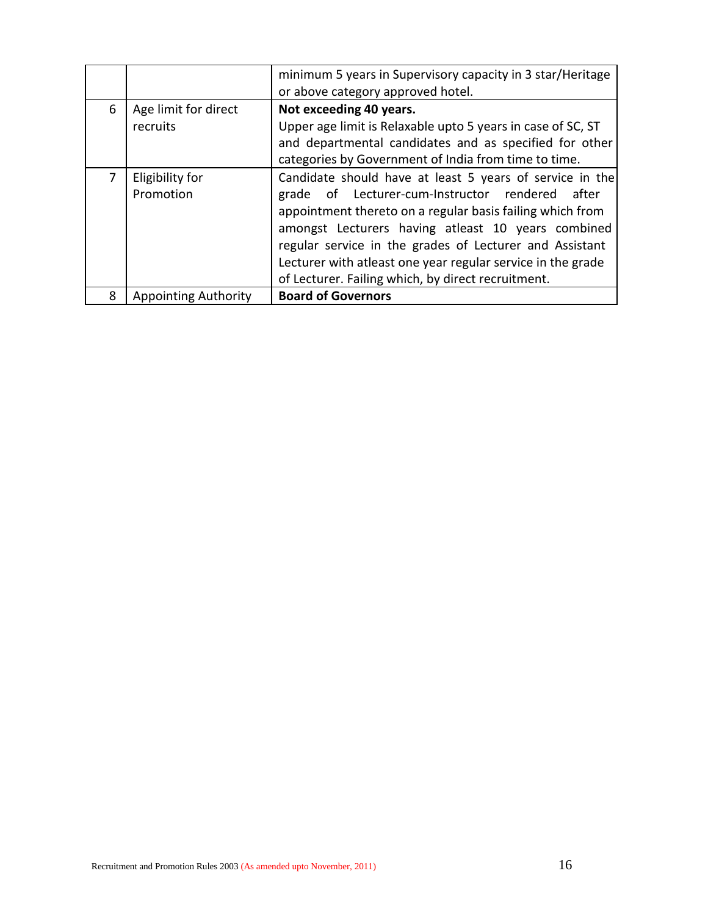|   |                                  | minimum 5 years in Supervisory capacity in 3 star/Heritage<br>or above category approved hotel.                                                                                                                                                                                                                                                                                                                   |  |
|---|----------------------------------|-------------------------------------------------------------------------------------------------------------------------------------------------------------------------------------------------------------------------------------------------------------------------------------------------------------------------------------------------------------------------------------------------------------------|--|
| 6 | Age limit for direct<br>recruits | Not exceeding 40 years.<br>Upper age limit is Relaxable upto 5 years in case of SC, ST<br>and departmental candidates and as specified for other<br>categories by Government of India from time to time.                                                                                                                                                                                                          |  |
|   | Eligibility for<br>Promotion     | Candidate should have at least 5 years of service in the<br>grade of Lecturer-cum-Instructor rendered<br>after<br>appointment thereto on a regular basis failing which from<br>amongst Lecturers having atleast 10 years combined<br>regular service in the grades of Lecturer and Assistant<br>Lecturer with atleast one year regular service in the grade<br>of Lecturer. Failing which, by direct recruitment. |  |
| 8 | <b>Appointing Authority</b>      | <b>Board of Governors</b>                                                                                                                                                                                                                                                                                                                                                                                         |  |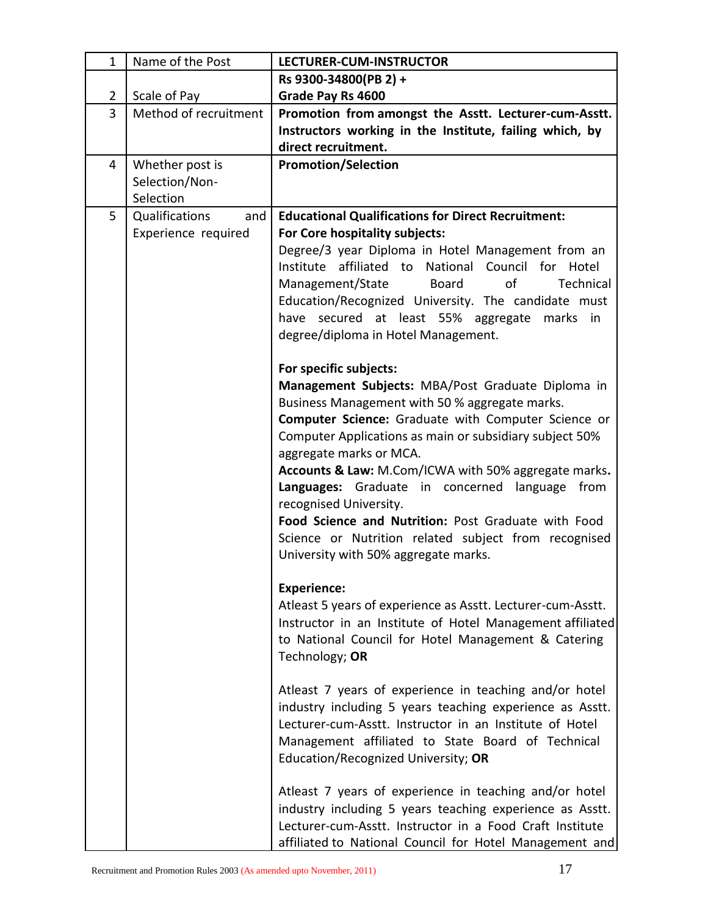| $\mathbf{1}$   | Name of the Post      | <b>LECTURER-CUM-INSTRUCTOR</b>                                                                         |
|----------------|-----------------------|--------------------------------------------------------------------------------------------------------|
|                |                       | Rs 9300-34800(PB 2) +                                                                                  |
| $\overline{2}$ | Scale of Pay          | Grade Pay Rs 4600                                                                                      |
| $\overline{3}$ | Method of recruitment | Promotion from amongst the Asstt. Lecturer-cum-Asstt.                                                  |
|                |                       | Instructors working in the Institute, failing which, by                                                |
|                |                       | direct recruitment.                                                                                    |
| 4              | Whether post is       | <b>Promotion/Selection</b>                                                                             |
|                | Selection/Non-        |                                                                                                        |
|                | Selection             |                                                                                                        |
| 5              | Qualifications<br>and | <b>Educational Qualifications for Direct Recruitment:</b>                                              |
|                | Experience required   | For Core hospitality subjects:                                                                         |
|                |                       | Degree/3 year Diploma in Hotel Management from an                                                      |
|                |                       | Institute<br>affiliated to<br>National Council<br>for Hotel                                            |
|                |                       | of<br>Management/State<br><b>Board</b><br>Technical                                                    |
|                |                       | Education/Recognized University. The candidate must<br>have secured at least 55% aggregate marks<br>in |
|                |                       | degree/diploma in Hotel Management.                                                                    |
|                |                       |                                                                                                        |
|                |                       | For specific subjects:                                                                                 |
|                |                       | Management Subjects: MBA/Post Graduate Diploma in                                                      |
|                |                       | Business Management with 50 % aggregate marks.                                                         |
|                |                       | <b>Computer Science:</b> Graduate with Computer Science or                                             |
|                |                       | Computer Applications as main or subsidiary subject 50%                                                |
|                |                       | aggregate marks or MCA.                                                                                |
|                |                       | Accounts & Law: M.Com/ICWA with 50% aggregate marks.                                                   |
|                |                       | Languages: Graduate in concerned language<br>from                                                      |
|                |                       | recognised University.                                                                                 |
|                |                       | Food Science and Nutrition: Post Graduate with Food                                                    |
|                |                       | Science or Nutrition related subject from recognised                                                   |
|                |                       | University with 50% aggregate marks.                                                                   |
|                |                       |                                                                                                        |
|                |                       | <b>Experience:</b><br>Atleast 5 years of experience as Asstt. Lecturer-cum-Asstt.                      |
|                |                       | Instructor in an Institute of Hotel Management affiliated                                              |
|                |                       | to National Council for Hotel Management & Catering                                                    |
|                |                       | Technology; OR                                                                                         |
|                |                       |                                                                                                        |
|                |                       | Atleast 7 years of experience in teaching and/or hotel                                                 |
|                |                       | industry including 5 years teaching experience as Asstt.                                               |
|                |                       | Lecturer-cum-Asstt. Instructor in an Institute of Hotel                                                |
|                |                       | Management affiliated to State Board of Technical                                                      |
|                |                       | Education/Recognized University; OR                                                                    |
|                |                       |                                                                                                        |
|                |                       | Atleast 7 years of experience in teaching and/or hotel                                                 |
|                |                       | industry including 5 years teaching experience as Asstt.                                               |
|                |                       | Lecturer-cum-Asstt. Instructor in a Food Craft Institute                                               |
|                |                       | affiliated to National Council for Hotel Management and                                                |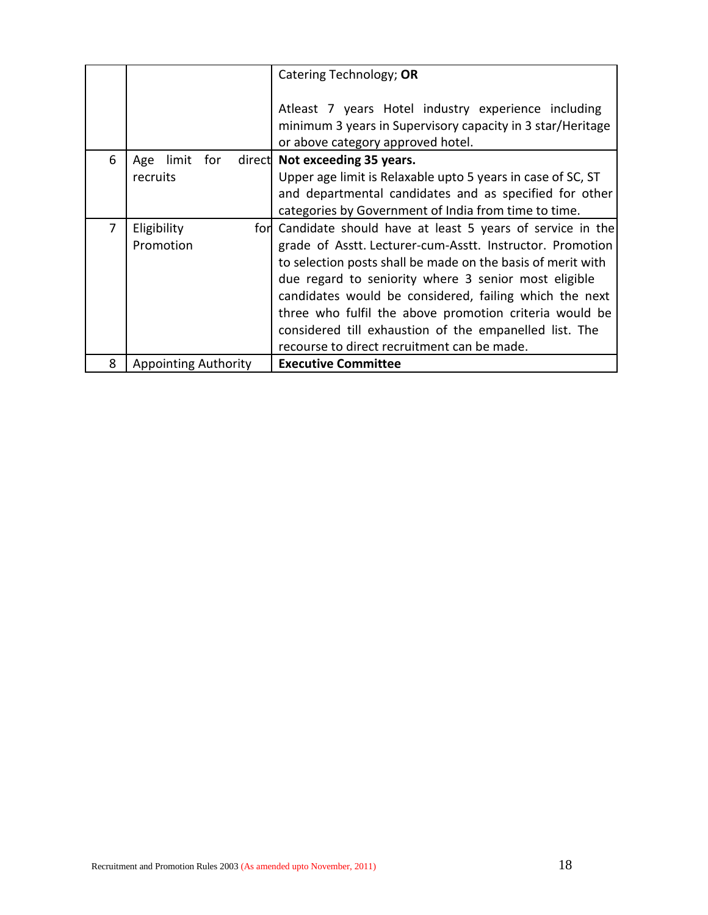|   |                             | Catering Technology; OR                                                                         |
|---|-----------------------------|-------------------------------------------------------------------------------------------------|
|   |                             | Atleast 7 years Hotel industry experience including                                             |
|   |                             | minimum 3 years in Supervisory capacity in 3 star/Heritage<br>or above category approved hotel. |
| 6 | limit<br>for<br>Age         | direct Not exceeding 35 years.                                                                  |
|   | recruits                    | Upper age limit is Relaxable upto 5 years in case of SC, ST                                     |
|   |                             | and departmental candidates and as specified for other                                          |
|   |                             | categories by Government of India from time to time.                                            |
| 7 | Eligibility                 | for Candidate should have at least 5 years of service in the                                    |
|   | Promotion                   | grade of Asstt. Lecturer-cum-Asstt. Instructor. Promotion                                       |
|   |                             | to selection posts shall be made on the basis of merit with                                     |
|   |                             | due regard to seniority where 3 senior most eligible                                            |
|   |                             | candidates would be considered, failing which the next                                          |
|   |                             | three who fulfil the above promotion criteria would be                                          |
|   |                             | considered till exhaustion of the empanelled list. The                                          |
|   |                             | recourse to direct recruitment can be made.                                                     |
| 8 | <b>Appointing Authority</b> | <b>Executive Committee</b>                                                                      |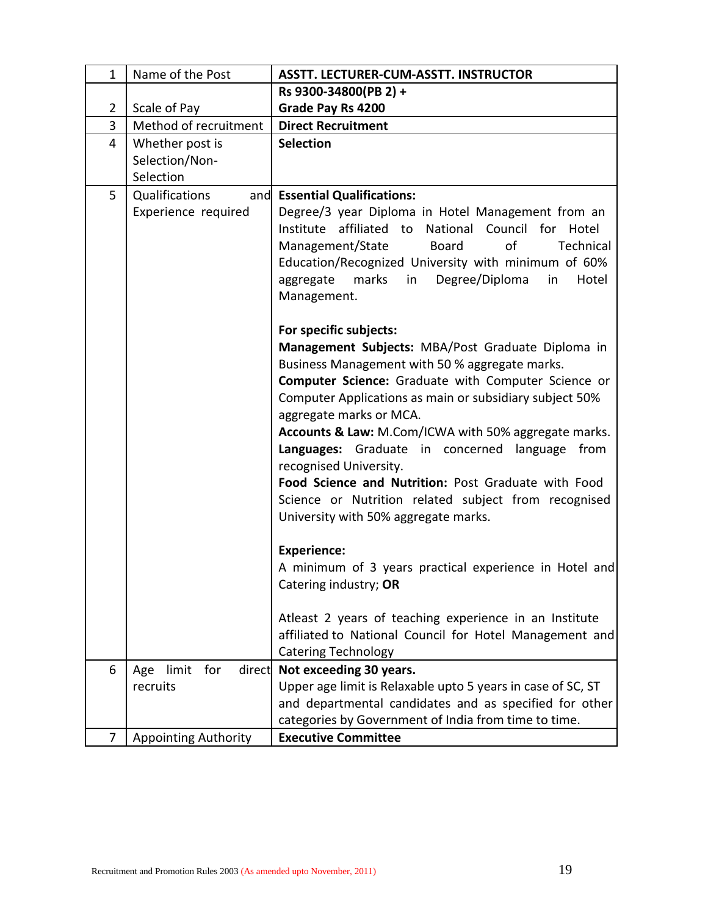| $\mathbf{1}$   | Name of the Post              | <b>ASSTT. LECTURER-CUM-ASSTT. INSTRUCTOR</b>                |
|----------------|-------------------------------|-------------------------------------------------------------|
|                |                               | Rs 9300-34800(PB 2) +                                       |
| $\overline{2}$ | Scale of Pay                  | Grade Pay Rs 4200                                           |
| 3              | Method of recruitment         | <b>Direct Recruitment</b>                                   |
| $\overline{4}$ | Whether post is               | <b>Selection</b>                                            |
|                | Selection/Non-                |                                                             |
|                | Selection                     |                                                             |
| 5              | Qualifications                | and Essential Qualifications:                               |
|                | Experience required           | Degree/3 year Diploma in Hotel Management from an           |
|                |                               | affiliated to<br>National Council for Hotel<br>Institute    |
|                |                               | of<br>Management/State<br><b>Board</b><br>Technical         |
|                |                               | Education/Recognized University with minimum of 60%         |
|                |                               | marks<br>in<br>Degree/Diploma<br>in<br>Hotel<br>aggregate   |
|                |                               | Management.                                                 |
|                |                               |                                                             |
|                |                               | For specific subjects:                                      |
|                |                               | Management Subjects: MBA/Post Graduate Diploma in           |
|                |                               | Business Management with 50 % aggregate marks.              |
|                |                               | Computer Science: Graduate with Computer Science or         |
|                |                               | Computer Applications as main or subsidiary subject 50%     |
|                |                               | aggregate marks or MCA.                                     |
|                |                               | Accounts & Law: M.Com/ICWA with 50% aggregate marks.        |
|                |                               | Languages: Graduate in concerned language from              |
|                |                               | recognised University.                                      |
|                |                               | Food Science and Nutrition: Post Graduate with Food         |
|                |                               | Science or Nutrition related subject from recognised        |
|                |                               | University with 50% aggregate marks.                        |
|                |                               |                                                             |
|                |                               | <b>Experience:</b>                                          |
|                |                               | A minimum of 3 years practical experience in Hotel and      |
|                |                               | Catering industry; OR                                       |
|                |                               | Atleast 2 years of teaching experience in an Institute      |
|                |                               | affiliated to National Council for Hotel Management and     |
|                |                               | <b>Catering Technology</b>                                  |
| 6              | for<br>limit<br>direct<br>Age | Not exceeding 30 years.                                     |
|                | recruits                      | Upper age limit is Relaxable upto 5 years in case of SC, ST |
|                |                               | and departmental candidates and as specified for other      |
|                |                               | categories by Government of India from time to time.        |
| 7              | <b>Appointing Authority</b>   | <b>Executive Committee</b>                                  |
|                |                               |                                                             |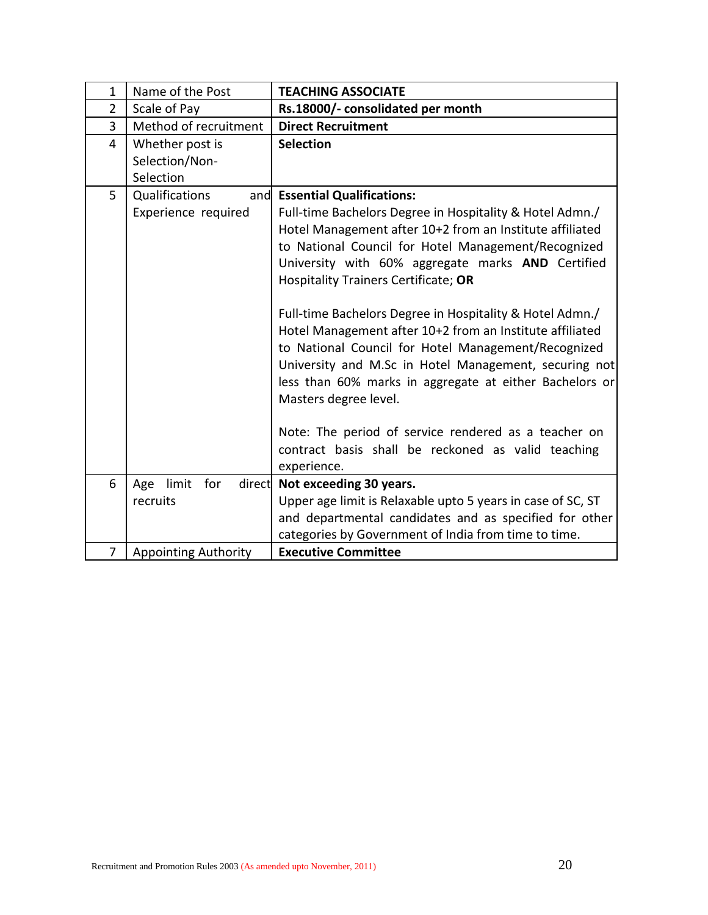| $\mathbf{1}$   | Name of the Post                               | <b>TEACHING ASSOCIATE</b>                                                                                                                                                                                                                                                                                                                                                                                                                                                                                                                                                                                                                                                                                                                                             |
|----------------|------------------------------------------------|-----------------------------------------------------------------------------------------------------------------------------------------------------------------------------------------------------------------------------------------------------------------------------------------------------------------------------------------------------------------------------------------------------------------------------------------------------------------------------------------------------------------------------------------------------------------------------------------------------------------------------------------------------------------------------------------------------------------------------------------------------------------------|
| $\overline{2}$ | Scale of Pay                                   | Rs.18000/- consolidated per month                                                                                                                                                                                                                                                                                                                                                                                                                                                                                                                                                                                                                                                                                                                                     |
| 3              | Method of recruitment                          | <b>Direct Recruitment</b>                                                                                                                                                                                                                                                                                                                                                                                                                                                                                                                                                                                                                                                                                                                                             |
| $\overline{4}$ | Whether post is<br>Selection/Non-<br>Selection | <b>Selection</b>                                                                                                                                                                                                                                                                                                                                                                                                                                                                                                                                                                                                                                                                                                                                                      |
| 5              | Qualifications<br>and<br>Experience required   | <b>Essential Qualifications:</b><br>Full-time Bachelors Degree in Hospitality & Hotel Admn./<br>Hotel Management after 10+2 from an Institute affiliated<br>to National Council for Hotel Management/Recognized<br>University with 60% aggregate marks AND Certified<br>Hospitality Trainers Certificate; OR<br>Full-time Bachelors Degree in Hospitality & Hotel Admn./<br>Hotel Management after 10+2 from an Institute affiliated<br>to National Council for Hotel Management/Recognized<br>University and M.Sc in Hotel Management, securing not<br>less than 60% marks in aggregate at either Bachelors or<br>Masters degree level.<br>Note: The period of service rendered as a teacher on<br>contract basis shall be reckoned as valid teaching<br>experience. |
| 6              | limit<br>direct<br>Age<br>for                  | Not exceeding 30 years.                                                                                                                                                                                                                                                                                                                                                                                                                                                                                                                                                                                                                                                                                                                                               |
|                | recruits                                       | Upper age limit is Relaxable upto 5 years in case of SC, ST<br>and departmental candidates and as specified for other<br>categories by Government of India from time to time.                                                                                                                                                                                                                                                                                                                                                                                                                                                                                                                                                                                         |
| $\overline{7}$ | <b>Appointing Authority</b>                    | <b>Executive Committee</b>                                                                                                                                                                                                                                                                                                                                                                                                                                                                                                                                                                                                                                                                                                                                            |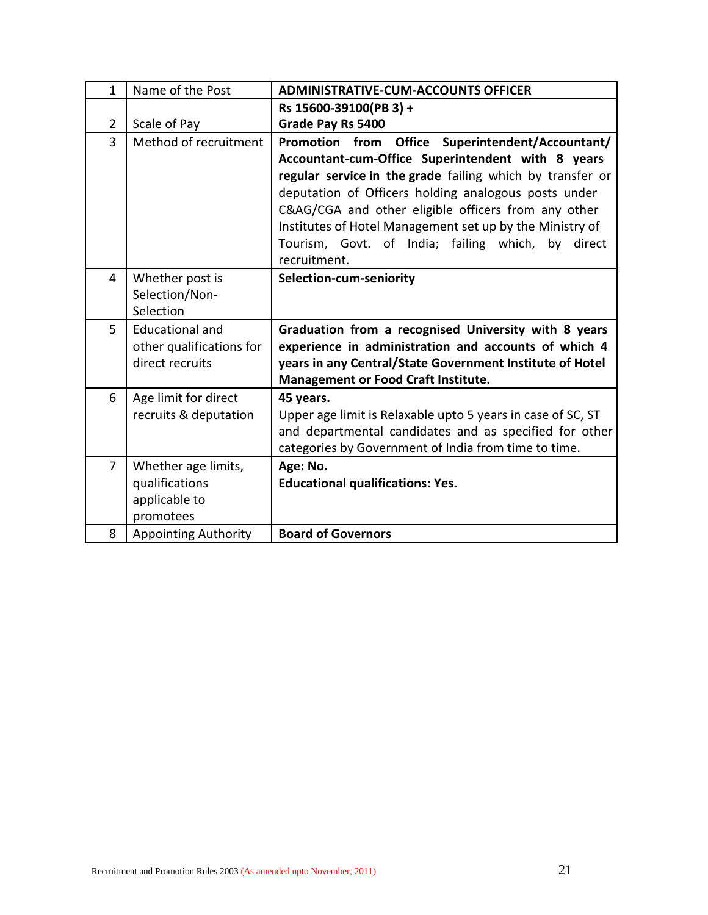| $\mathbf{1}$   | Name of the Post            | <b>ADMINISTRATIVE-CUM-ACCOUNTS OFFICER</b>                           |
|----------------|-----------------------------|----------------------------------------------------------------------|
|                |                             | Rs 15600-39100(PB 3) +                                               |
| $\overline{2}$ | Scale of Pay                | Grade Pay Rs 5400                                                    |
| $\overline{3}$ | Method of recruitment       | <b>Office</b><br>Superintendent/Accountant/<br><b>Promotion from</b> |
|                |                             | Accountant-cum-Office Superintendent with 8 years                    |
|                |                             | regular service in the grade failing which by transfer or            |
|                |                             | deputation of Officers holding analogous posts under                 |
|                |                             | C&AG/CGA and other eligible officers from any other                  |
|                |                             | Institutes of Hotel Management set up by the Ministry of             |
|                |                             | Tourism, Govt. of India; failing which, by<br>direct                 |
|                |                             | recruitment.                                                         |
| 4              | Whether post is             | Selection-cum-seniority                                              |
|                | Selection/Non-<br>Selection |                                                                      |
| 5              | <b>Educational and</b>      | Graduation from a recognised University with 8 years                 |
|                | other qualifications for    | experience in administration and accounts of which 4                 |
|                | direct recruits             | years in any Central/State Government Institute of Hotel             |
|                |                             | Management or Food Craft Institute.                                  |
| 6              | Age limit for direct        | 45 years.                                                            |
|                | recruits & deputation       | Upper age limit is Relaxable upto 5 years in case of SC, ST          |
|                |                             | and departmental candidates and as specified for other               |
|                |                             | categories by Government of India from time to time.                 |
| $\overline{7}$ | Whether age limits,         | Age: No.                                                             |
|                | qualifications              | <b>Educational qualifications: Yes.</b>                              |
|                | applicable to               |                                                                      |
|                | promotees                   |                                                                      |
| 8              | <b>Appointing Authority</b> | <b>Board of Governors</b>                                            |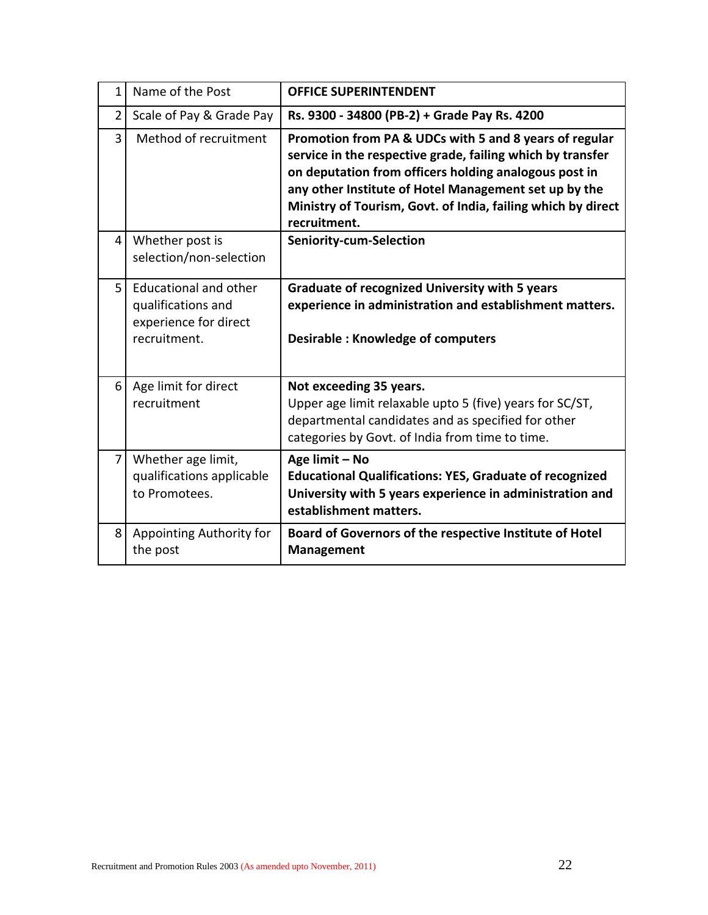| $\mathbf{1}$   | Name of the Post                                                                            | <b>OFFICE SUPERINTENDENT</b>                                                                                                                                                                                                                                                                                           |
|----------------|---------------------------------------------------------------------------------------------|------------------------------------------------------------------------------------------------------------------------------------------------------------------------------------------------------------------------------------------------------------------------------------------------------------------------|
| 2              | Scale of Pay & Grade Pay                                                                    | Rs. 9300 - 34800 (PB-2) + Grade Pay Rs. 4200                                                                                                                                                                                                                                                                           |
| $\overline{3}$ | Method of recruitment                                                                       | Promotion from PA & UDCs with 5 and 8 years of regular<br>service in the respective grade, failing which by transfer<br>on deputation from officers holding analogous post in<br>any other Institute of Hotel Management set up by the<br>Ministry of Tourism, Govt. of India, failing which by direct<br>recruitment. |
| $\overline{4}$ | Whether post is<br>selection/non-selection                                                  | Seniority-cum-Selection                                                                                                                                                                                                                                                                                                |
| 5              | <b>Educational and other</b><br>qualifications and<br>experience for direct<br>recruitment. | <b>Graduate of recognized University with 5 years</b><br>experience in administration and establishment matters.<br><b>Desirable: Knowledge of computers</b>                                                                                                                                                           |
| 6              | Age limit for direct<br>recruitment                                                         | Not exceeding 35 years.<br>Upper age limit relaxable upto 5 (five) years for SC/ST,<br>departmental candidates and as specified for other<br>categories by Govt. of India from time to time.                                                                                                                           |
| $\overline{7}$ | Whether age limit,<br>qualifications applicable<br>to Promotees.                            | Age limit - No<br><b>Educational Qualifications: YES, Graduate of recognized</b><br>University with 5 years experience in administration and<br>establishment matters.                                                                                                                                                 |
| 8              | Appointing Authority for<br>the post                                                        | Board of Governors of the respective Institute of Hotel<br><b>Management</b>                                                                                                                                                                                                                                           |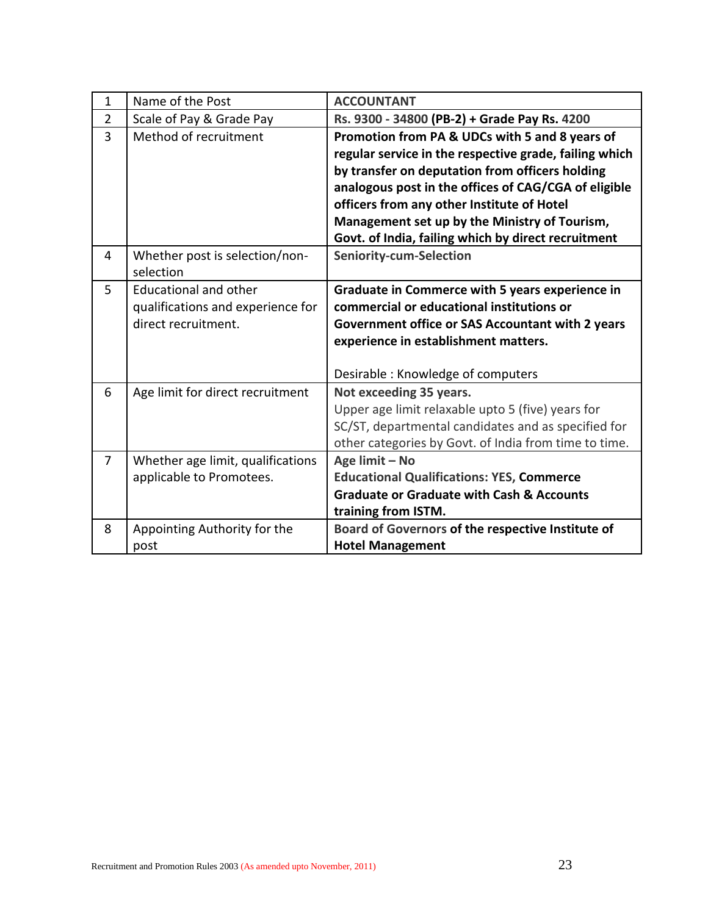| $\mathbf{1}$   | Name of the Post                                                                         | <b>ACCOUNTANT</b>                                                                                                                                                                                                                                                                                                                                                         |
|----------------|------------------------------------------------------------------------------------------|---------------------------------------------------------------------------------------------------------------------------------------------------------------------------------------------------------------------------------------------------------------------------------------------------------------------------------------------------------------------------|
| $\overline{2}$ | Scale of Pay & Grade Pay                                                                 | Rs. 9300 - 34800 (PB-2) + Grade Pay Rs. 4200                                                                                                                                                                                                                                                                                                                              |
| 3              | Method of recruitment                                                                    | Promotion from PA & UDCs with 5 and 8 years of<br>regular service in the respective grade, failing which<br>by transfer on deputation from officers holding<br>analogous post in the offices of CAG/CGA of eligible<br>officers from any other Institute of Hotel<br>Management set up by the Ministry of Tourism,<br>Govt. of India, failing which by direct recruitment |
| 4              | Whether post is selection/non-<br>selection                                              | <b>Seniority-cum-Selection</b>                                                                                                                                                                                                                                                                                                                                            |
| 5              | <b>Educational and other</b><br>qualifications and experience for<br>direct recruitment. | Graduate in Commerce with 5 years experience in<br>commercial or educational institutions or<br>Government office or SAS Accountant with 2 years<br>experience in establishment matters.<br>Desirable: Knowledge of computers                                                                                                                                             |
| 6              | Age limit for direct recruitment                                                         | Not exceeding 35 years.<br>Upper age limit relaxable upto 5 (five) years for<br>SC/ST, departmental candidates and as specified for<br>other categories by Govt. of India from time to time.                                                                                                                                                                              |
| $\overline{7}$ | Whether age limit, qualifications<br>applicable to Promotees.                            | Age limit - No<br><b>Educational Qualifications: YES, Commerce</b><br><b>Graduate or Graduate with Cash &amp; Accounts</b><br>training from ISTM.                                                                                                                                                                                                                         |
| 8              | Appointing Authority for the<br>post                                                     | Board of Governors of the respective Institute of<br><b>Hotel Management</b>                                                                                                                                                                                                                                                                                              |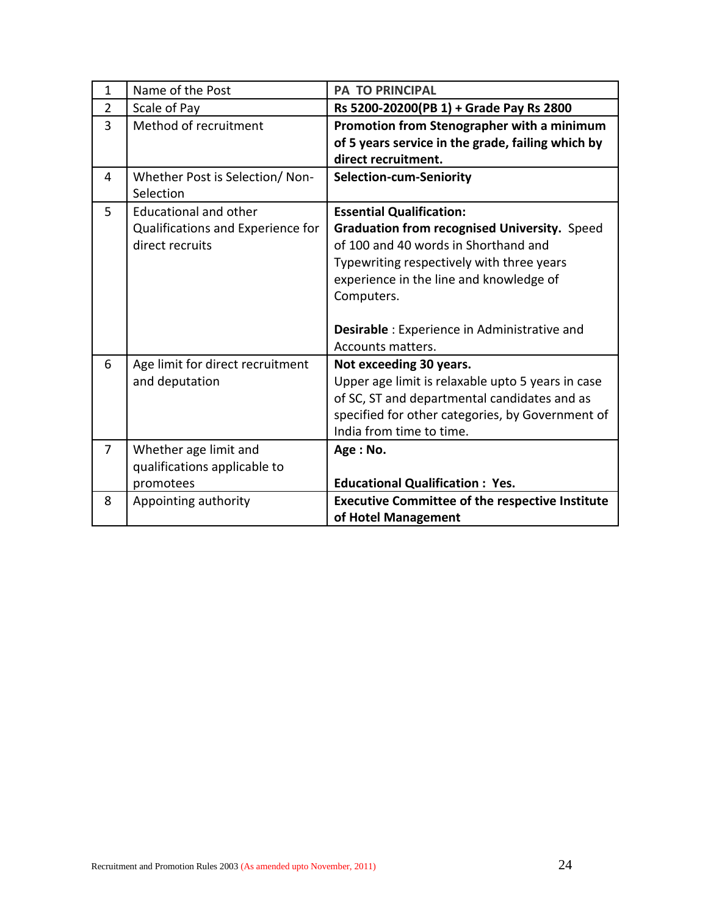| $\mathbf{1}$   | Name of the Post                                                                     | <b>PA TO PRINCIPAL</b>                                                                                                                                                                                                                                                                             |
|----------------|--------------------------------------------------------------------------------------|----------------------------------------------------------------------------------------------------------------------------------------------------------------------------------------------------------------------------------------------------------------------------------------------------|
| $\overline{2}$ | Scale of Pay                                                                         | Rs 5200-20200(PB 1) + Grade Pay Rs 2800                                                                                                                                                                                                                                                            |
| 3              | Method of recruitment                                                                | Promotion from Stenographer with a minimum<br>of 5 years service in the grade, failing which by<br>direct recruitment.                                                                                                                                                                             |
| 4              | Whether Post is Selection/Non-<br>Selection                                          | <b>Selection-cum-Seniority</b>                                                                                                                                                                                                                                                                     |
| 5              | <b>Educational and other</b><br>Qualifications and Experience for<br>direct recruits | <b>Essential Qualification:</b><br>Graduation from recognised University. Speed<br>of 100 and 40 words in Shorthand and<br>Typewriting respectively with three years<br>experience in the line and knowledge of<br>Computers.<br>Desirable : Experience in Administrative and<br>Accounts matters. |
| 6              | Age limit for direct recruitment<br>and deputation                                   | Not exceeding 30 years.<br>Upper age limit is relaxable upto 5 years in case<br>of SC, ST and departmental candidates and as<br>specified for other categories, by Government of<br>India from time to time.                                                                                       |
| $\overline{7}$ | Whether age limit and<br>qualifications applicable to<br>promotees                   | Age: No.<br><b>Educational Qualification: Yes.</b>                                                                                                                                                                                                                                                 |
| 8              | Appointing authority                                                                 | <b>Executive Committee of the respective Institute</b><br>of Hotel Management                                                                                                                                                                                                                      |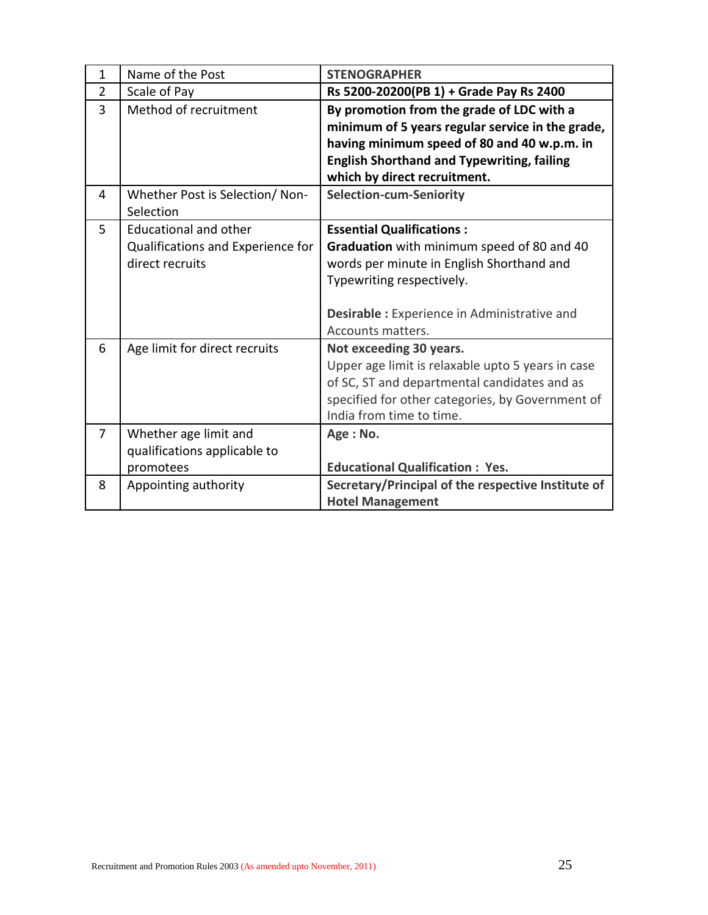| $\mathbf{1}$   | Name of the Post                                                                     | <b>STENOGRAPHER</b>                                                                                                                                                                                                                 |
|----------------|--------------------------------------------------------------------------------------|-------------------------------------------------------------------------------------------------------------------------------------------------------------------------------------------------------------------------------------|
| $\overline{2}$ | Scale of Pay                                                                         | Rs 5200-20200(PB 1) + Grade Pay Rs 2400                                                                                                                                                                                             |
| $\overline{3}$ | Method of recruitment                                                                | By promotion from the grade of LDC with a<br>minimum of 5 years regular service in the grade,<br>having minimum speed of 80 and 40 w.p.m. in<br><b>English Shorthand and Typewriting, failing</b><br>which by direct recruitment.   |
| 4              | Whether Post is Selection/Non-<br>Selection                                          | <b>Selection-cum-Seniority</b>                                                                                                                                                                                                      |
| 5              | <b>Educational and other</b><br>Qualifications and Experience for<br>direct recruits | <b>Essential Qualifications:</b><br>Graduation with minimum speed of 80 and 40<br>words per minute in English Shorthand and<br>Typewriting respectively.<br><b>Desirable:</b> Experience in Administrative and<br>Accounts matters. |
| 6              | Age limit for direct recruits                                                        | Not exceeding 30 years.<br>Upper age limit is relaxable upto 5 years in case<br>of SC, ST and departmental candidates and as<br>specified for other categories, by Government of<br>India from time to time.                        |
| $\overline{7}$ | Whether age limit and<br>qualifications applicable to<br>promotees                   | Age: No.<br><b>Educational Qualification: Yes.</b>                                                                                                                                                                                  |
| 8              | Appointing authority                                                                 | Secretary/Principal of the respective Institute of<br><b>Hotel Management</b>                                                                                                                                                       |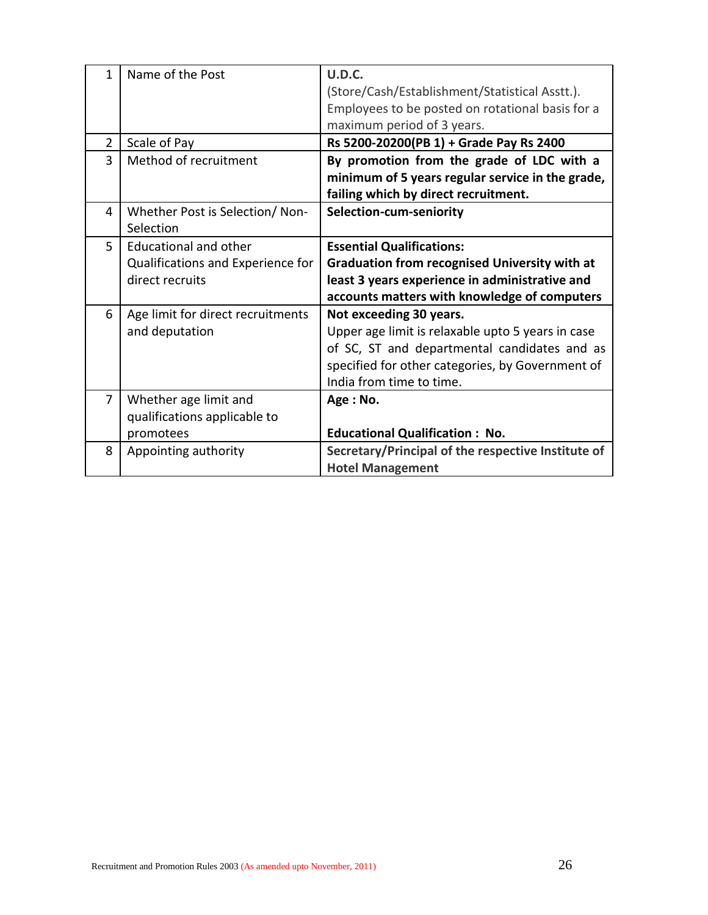| 1              | Name of the Post                  | <b>U.D.C.</b>                                        |
|----------------|-----------------------------------|------------------------------------------------------|
|                |                                   | (Store/Cash/Establishment/Statistical Asstt.).       |
|                |                                   | Employees to be posted on rotational basis for a     |
|                |                                   | maximum period of 3 years.                           |
| $\overline{2}$ | Scale of Pay                      | Rs 5200-20200(PB 1) + Grade Pay Rs 2400              |
| 3              | Method of recruitment             | By promotion from the grade of LDC with a            |
|                |                                   | minimum of 5 years regular service in the grade,     |
|                |                                   | failing which by direct recruitment.                 |
| 4              | Whether Post is Selection/Non-    | Selection-cum-seniority                              |
|                | Selection                         |                                                      |
| 5              | Educational and other             | <b>Essential Qualifications:</b>                     |
|                | Qualifications and Experience for | <b>Graduation from recognised University with at</b> |
|                | direct recruits                   | least 3 years experience in administrative and       |
|                |                                   | accounts matters with knowledge of computers         |
| 6              | Age limit for direct recruitments | Not exceeding 30 years.                              |
|                | and deputation                    | Upper age limit is relaxable upto 5 years in case    |
|                |                                   | of SC, ST and departmental candidates and as         |
|                |                                   | specified for other categories, by Government of     |
|                |                                   | India from time to time.                             |
| $\overline{7}$ | Whether age limit and             | Age: No.                                             |
|                | qualifications applicable to      |                                                      |
|                | promotees                         | <b>Educational Qualification: No.</b>                |
| 8              | Appointing authority              | Secretary/Principal of the respective Institute of   |
|                |                                   | <b>Hotel Management</b>                              |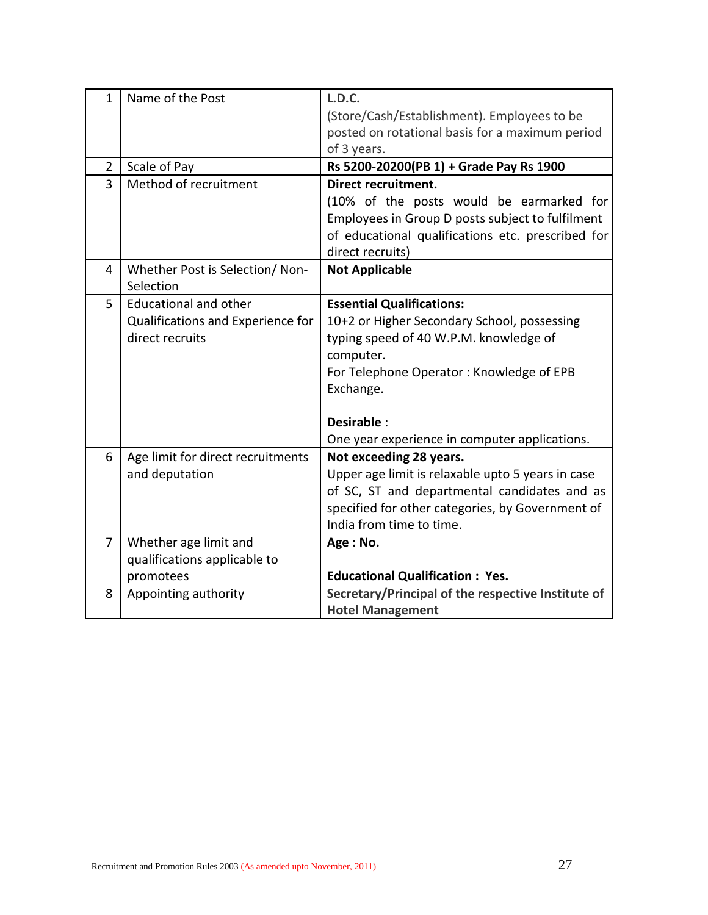| $\mathbf{1}$<br>$\overline{2}$<br>$\overline{3}$ | Name of the Post<br>Scale of Pay<br>Method of recruitment                            | <b>L.D.C.</b><br>(Store/Cash/Establishment). Employees to be<br>posted on rotational basis for a maximum period<br>of 3 years.<br>Rs 5200-20200(PB 1) + Grade Pay Rs 1900<br>Direct recruitment.                                                               |
|--------------------------------------------------|--------------------------------------------------------------------------------------|----------------------------------------------------------------------------------------------------------------------------------------------------------------------------------------------------------------------------------------------------------------|
|                                                  |                                                                                      | (10% of the posts would be earmarked for<br>Employees in Group D posts subject to fulfilment<br>of educational qualifications etc. prescribed for<br>direct recruits)                                                                                          |
| 4                                                | Whether Post is Selection/Non-<br>Selection                                          | <b>Not Applicable</b>                                                                                                                                                                                                                                          |
| 5                                                | <b>Educational and other</b><br>Qualifications and Experience for<br>direct recruits | <b>Essential Qualifications:</b><br>10+2 or Higher Secondary School, possessing<br>typing speed of 40 W.P.M. knowledge of<br>computer.<br>For Telephone Operator: Knowledge of EPB<br>Exchange.<br>Desirable:<br>One year experience in computer applications. |
| 6                                                | Age limit for direct recruitments<br>and deputation                                  | Not exceeding 28 years.<br>Upper age limit is relaxable upto 5 years in case<br>of SC, ST and departmental candidates and as<br>specified for other categories, by Government of<br>India from time to time.                                                   |
| $\overline{7}$                                   | Whether age limit and<br>qualifications applicable to<br>promotees                   | Age: No.<br><b>Educational Qualification: Yes.</b>                                                                                                                                                                                                             |
| 8                                                | Appointing authority                                                                 | Secretary/Principal of the respective Institute of<br><b>Hotel Management</b>                                                                                                                                                                                  |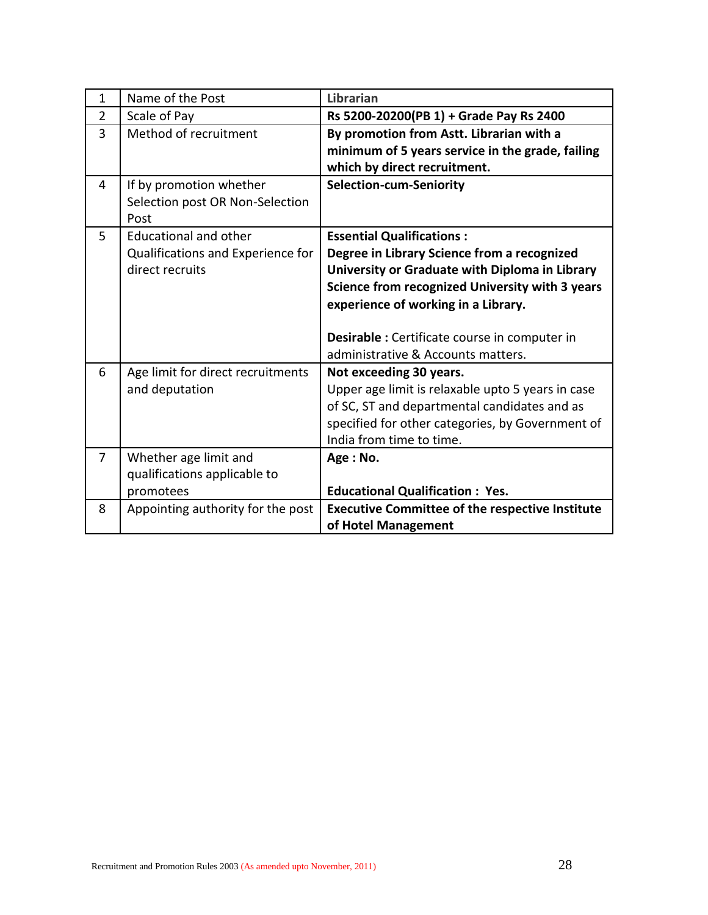| $\mathbf{1}$   | Name of the Post                                                                     | Librarian                                                                                                                                                                                                                                                                                                          |
|----------------|--------------------------------------------------------------------------------------|--------------------------------------------------------------------------------------------------------------------------------------------------------------------------------------------------------------------------------------------------------------------------------------------------------------------|
| $\overline{2}$ | Scale of Pay                                                                         | Rs 5200-20200(PB 1) + Grade Pay Rs 2400                                                                                                                                                                                                                                                                            |
| 3              | Method of recruitment                                                                | By promotion from Astt. Librarian with a<br>minimum of 5 years service in the grade, failing<br>which by direct recruitment.                                                                                                                                                                                       |
| 4              | If by promotion whether<br>Selection post OR Non-Selection<br>Post                   | <b>Selection-cum-Seniority</b>                                                                                                                                                                                                                                                                                     |
| 5              | <b>Educational and other</b><br>Qualifications and Experience for<br>direct recruits | <b>Essential Qualifications:</b><br>Degree in Library Science from a recognized<br>University or Graduate with Diploma in Library<br>Science from recognized University with 3 years<br>experience of working in a Library.<br>Desirable : Certificate course in computer in<br>administrative & Accounts matters. |
| 6              | Age limit for direct recruitments<br>and deputation                                  | Not exceeding 30 years.<br>Upper age limit is relaxable upto 5 years in case<br>of SC, ST and departmental candidates and as<br>specified for other categories, by Government of<br>India from time to time.                                                                                                       |
| $\overline{7}$ | Whether age limit and<br>qualifications applicable to<br>promotees                   | Age: No.<br><b>Educational Qualification: Yes.</b>                                                                                                                                                                                                                                                                 |
| 8              | Appointing authority for the post                                                    | <b>Executive Committee of the respective Institute</b><br>of Hotel Management                                                                                                                                                                                                                                      |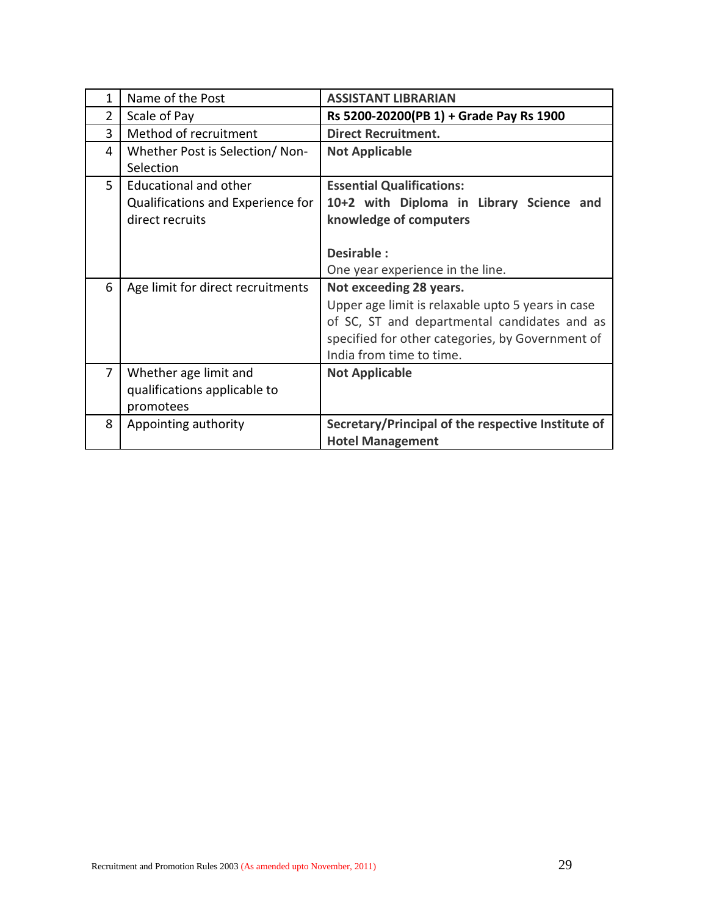| 1 | Name of the Post                                                                     | <b>ASSISTANT LIBRARIAN</b>                                                                                                                                                                                   |
|---|--------------------------------------------------------------------------------------|--------------------------------------------------------------------------------------------------------------------------------------------------------------------------------------------------------------|
| 2 | Scale of Pay                                                                         | Rs 5200-20200(PB 1) + Grade Pay Rs 1900                                                                                                                                                                      |
| 3 | Method of recruitment                                                                | <b>Direct Recruitment.</b>                                                                                                                                                                                   |
| 4 | Whether Post is Selection/Non-<br>Selection                                          | <b>Not Applicable</b>                                                                                                                                                                                        |
| 5 | <b>Educational and other</b><br>Qualifications and Experience for<br>direct recruits | <b>Essential Qualifications:</b><br>10+2 with Diploma in Library Science and<br>knowledge of computers                                                                                                       |
|   |                                                                                      | Desirable:<br>One year experience in the line.                                                                                                                                                               |
| 6 | Age limit for direct recruitments                                                    | Not exceeding 28 years.<br>Upper age limit is relaxable upto 5 years in case<br>of SC, ST and departmental candidates and as<br>specified for other categories, by Government of<br>India from time to time. |
| 7 | Whether age limit and<br>qualifications applicable to<br>promotees                   | <b>Not Applicable</b>                                                                                                                                                                                        |
| 8 | Appointing authority                                                                 | Secretary/Principal of the respective Institute of<br><b>Hotel Management</b>                                                                                                                                |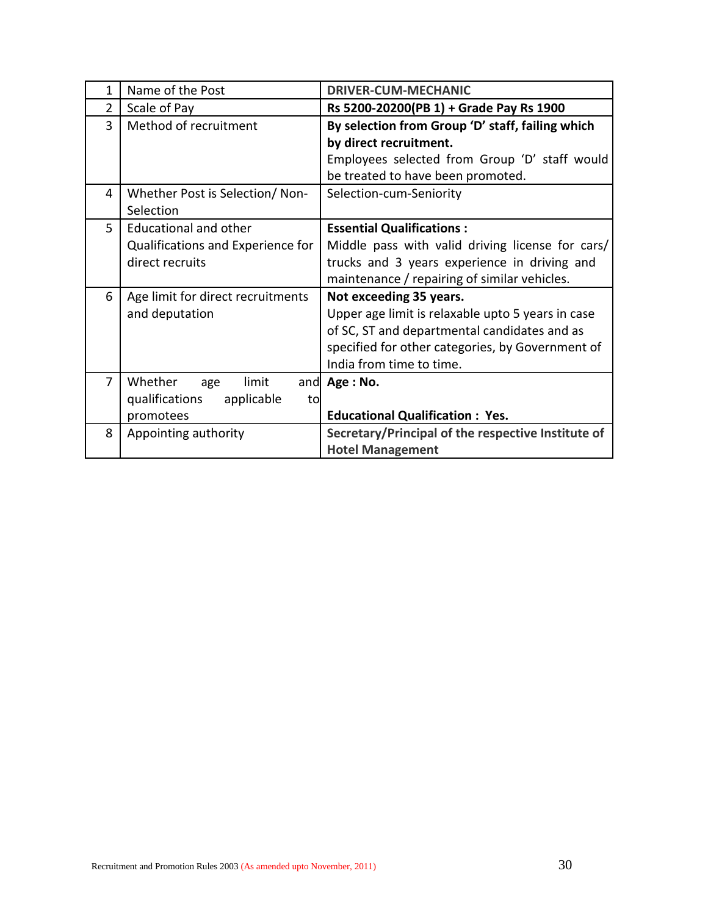| 1 | Name of the Post                   | <b>DRIVER-CUM-MECHANIC</b>                         |
|---|------------------------------------|----------------------------------------------------|
| 2 | Scale of Pay                       | Rs 5200-20200(PB 1) + Grade Pay Rs 1900            |
| 3 | Method of recruitment              | By selection from Group 'D' staff, failing which   |
|   |                                    | by direct recruitment.                             |
|   |                                    | Employees selected from Group 'D' staff would      |
|   |                                    | be treated to have been promoted.                  |
| 4 | Whether Post is Selection/Non-     | Selection-cum-Seniority                            |
|   | Selection                          |                                                    |
| 5 | <b>Educational and other</b>       | <b>Essential Qualifications:</b>                   |
|   | Qualifications and Experience for  | Middle pass with valid driving license for cars/   |
|   | direct recruits                    | trucks and 3 years experience in driving and       |
|   |                                    | maintenance / repairing of similar vehicles.       |
| 6 | Age limit for direct recruitments  | Not exceeding 35 years.                            |
|   | and deputation                     | Upper age limit is relaxable upto 5 years in case  |
|   |                                    | of SC, ST and departmental candidates and as       |
|   |                                    | specified for other categories, by Government of   |
|   |                                    | India from time to time.                           |
| 7 | Whether<br>limit<br>age            | and $Age: No.$                                     |
|   | qualifications<br>applicable<br>to |                                                    |
|   | promotees                          | <b>Educational Qualification: Yes.</b>             |
| 8 | Appointing authority               | Secretary/Principal of the respective Institute of |
|   |                                    | <b>Hotel Management</b>                            |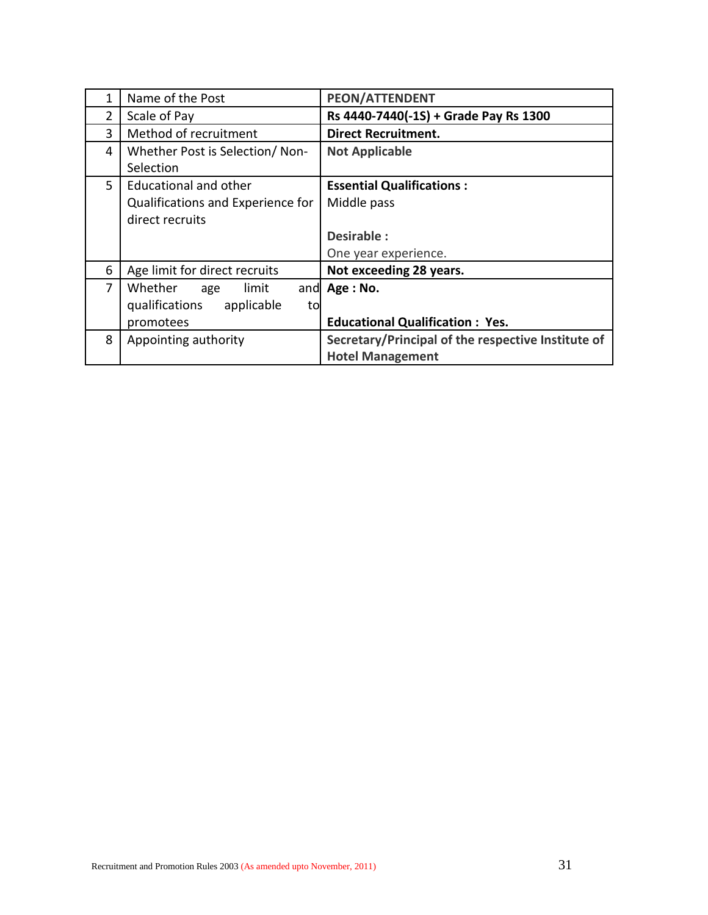|                | Name of the Post                   | <b>PEON/ATTENDENT</b>                              |
|----------------|------------------------------------|----------------------------------------------------|
| 2              | Scale of Pay                       | Rs 4440-7440(-1S) + Grade Pay Rs 1300              |
| 3              | Method of recruitment              | <b>Direct Recruitment.</b>                         |
| 4              | Whether Post is Selection/Non-     | <b>Not Applicable</b>                              |
|                | Selection                          |                                                    |
| 5              | <b>Educational and other</b>       | <b>Essential Qualifications:</b>                   |
|                | Qualifications and Experience for  | Middle pass                                        |
|                | direct recruits                    |                                                    |
|                |                                    | Desirable:                                         |
|                |                                    | One year experience.                               |
| 6              | Age limit for direct recruits      | Not exceeding 28 years.                            |
| $\overline{7}$ | Whether<br>limit<br>age            | and Age: No.                                       |
|                | qualifications<br>applicable<br>to |                                                    |
|                | promotees                          | <b>Educational Qualification: Yes.</b>             |
| 8              | Appointing authority               | Secretary/Principal of the respective Institute of |
|                |                                    | <b>Hotel Management</b>                            |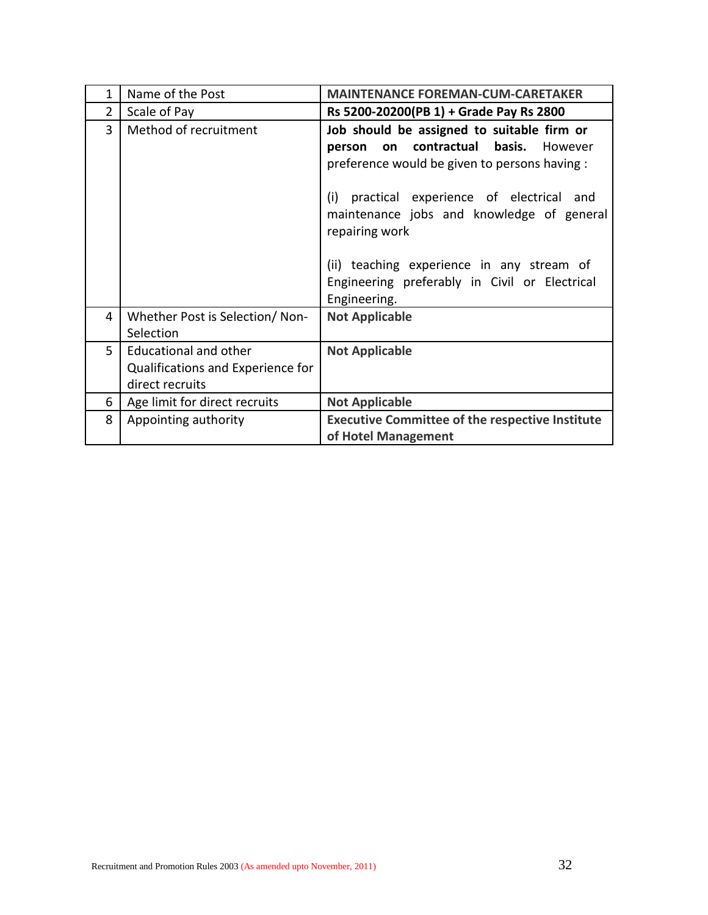| 1 | Name of the Post                                                                     | <b>MAINTENANCE FOREMAN-CUM-CARETAKER</b>                                                                                                                                                                                                                                                                                                                                          |
|---|--------------------------------------------------------------------------------------|-----------------------------------------------------------------------------------------------------------------------------------------------------------------------------------------------------------------------------------------------------------------------------------------------------------------------------------------------------------------------------------|
| 2 | Scale of Pay                                                                         | Rs 5200-20200(PB 1) + Grade Pay Rs 2800                                                                                                                                                                                                                                                                                                                                           |
| 3 | Method of recruitment                                                                | Job should be assigned to suitable firm or<br>contractual<br><b>basis.</b> However<br>on<br>person<br>preference would be given to persons having :<br>practical experience of electrical and<br>(i)<br>maintenance jobs and knowledge of general<br>repairing work<br>(ii) teaching experience in any stream of<br>Engineering preferably in Civil or Electrical<br>Engineering. |
| 4 | Whether Post is Selection/Non-<br>Selection                                          | <b>Not Applicable</b>                                                                                                                                                                                                                                                                                                                                                             |
| 5 | <b>Educational and other</b><br>Qualifications and Experience for<br>direct recruits | <b>Not Applicable</b>                                                                                                                                                                                                                                                                                                                                                             |
| 6 | Age limit for direct recruits                                                        | <b>Not Applicable</b>                                                                                                                                                                                                                                                                                                                                                             |
| 8 | Appointing authority                                                                 | <b>Executive Committee of the respective Institute</b><br>of Hotel Management                                                                                                                                                                                                                                                                                                     |